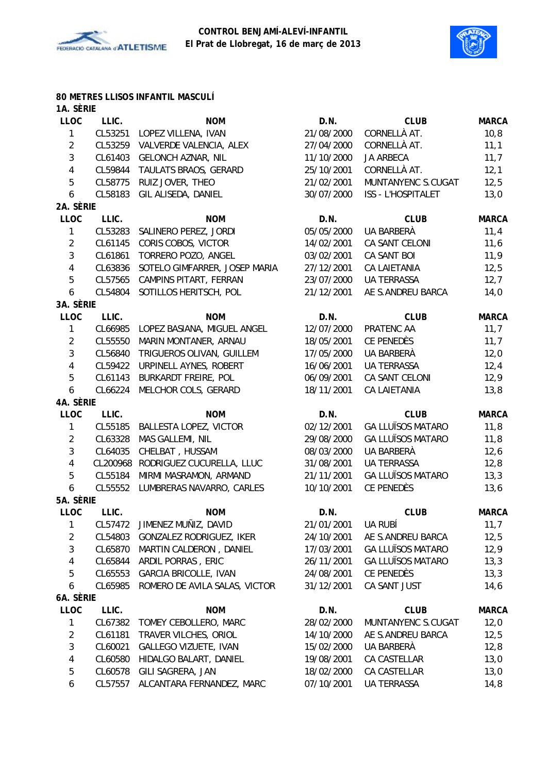



#### **80 METRES LLISOS INFANTIL MASCULÍ 1A. SÈRIE**

| IA. JERIE               |          |                               |            |                          |              |
|-------------------------|----------|-------------------------------|------------|--------------------------|--------------|
| <b>LLOC</b>             | LLIC.    | <b>NOM</b>                    | D.N.       | <b>CLUB</b>              | <b>MARCA</b> |
| 1                       | CL53251  | LOPEZ VILLENA, IVAN           | 21/08/2000 | CORNELLÀ AT.             | 10, 8        |
| $\overline{2}$          | CL53259  | VALVERDE VALENCIA, ALEX       | 27/04/2000 | CORNELLÀ AT.             | 11,1         |
| 3                       | CL61403  | <b>GELONCH AZNAR, NIL</b>     | 11/10/2000 | <b>JA ARBECA</b>         | 11,7         |
| $\overline{4}$          | CL59844  | TAULATS BRAOS, GERARD         | 25/10/2001 | CORNELLÀ AT.             | 12,1         |
| 5                       | CL58775  | RUIZ JOVER, THEO              | 21/02/2001 | MUNTANYENC S.CUGAT       | 12,5         |
| 6                       | CL58183  | GIL ALISEDA, DANIEL           | 30/07/2000 | ISS - L'HOSPITALET       | 13,0         |
| 2A. SÈRIE               |          |                               |            |                          |              |
| <b>LLOC</b>             | LLIC.    | <b>NOM</b>                    | D.N.       | <b>CLUB</b>              | <b>MARCA</b> |
| 1                       | CL53283  | SALINERO PEREZ, JORDI         | 05/05/2000 | UA BARBERA               | 11,4         |
| $\overline{2}$          | CL61145  | CORIS COBOS, VICTOR           | 14/02/2001 | CA SANT CELONI           | 11,6         |
| 3                       | CL61861  | TORRERO POZO, ANGEL           | 03/02/2001 | CA SANT BOI              | 11,9         |
| $\overline{4}$          | CL63836  | SOTELO GIMFARRER, JOSEP MARIA | 27/12/2001 | <b>CA LAIETANIA</b>      | 12,5         |
| 5                       | CL57565  | CAMPINS PITART, FERRAN        | 23/07/2000 | <b>UA TERRASSA</b>       | 12,7         |
| 6                       | CL54804  | SOTILLOS HERITSCH, POL        | 21/12/2001 | AE S.ANDREU BARCA        | 14,0         |
| 3A. SÈRIE               |          |                               |            |                          |              |
| <b>LLOC</b>             | LLIC.    | <b>NOM</b>                    | D.N.       | <b>CLUB</b>              | <b>MARCA</b> |
| 1                       | CL66985  | LOPEZ BASIANA, MIGUEL ANGEL   | 12/07/2000 | PRATENC AA               | 11,7         |
| $\overline{2}$          | CL55550  | MARIN MONTANER, ARNAU         | 18/05/2001 | CE PENEDÈS               | 11,7         |
| 3                       | CL56840  | TRIGUEROS OLIVAN, GUILLEM     | 17/05/2000 | UA BARBERÀ               | 12,0         |
| 4                       | CL59422  | URPINELL AYNES, ROBERT        | 16/06/2001 | <b>UA TERRASSA</b>       | 12,4         |
| 5                       | CL61143  | BURKARDT FREIRE, POL          | 06/09/2001 | CA SANT CELONI           | 12,9         |
| 6                       | CL66224  | MELCHOR COLS, GERARD          | 18/11/2001 | CA LAIETANIA             | 13,8         |
| 4A. SÈRIE               |          |                               |            |                          |              |
| <b>LLOC</b>             | LLIC.    | <b>NOM</b>                    | D.N.       | <b>CLUB</b>              | <b>MARCA</b> |
| 1                       | CL55185  | BALLESTA LOPEZ, VICTOR        | 02/12/2001 | <b>GA LLUÏSOS MATARO</b> | 11,8         |
| $\overline{2}$          | CL63328  | MAS GALLEMI, NIL              | 29/08/2000 | <b>GA LLUÏSOS MATARO</b> | 11,8         |
| 3                       | CL64035  | CHELBAT, HUSSAM               | 08/03/2000 | UA BARBERÀ               | 12,6         |
| $\overline{\mathbf{4}}$ | CL200968 | RODRIGUEZ CUCURELLA, LLUC     | 31/08/2001 | <b>UA TERRASSA</b>       | 12,8         |
| 5                       | CL55184  | MIRMI MASRAMON, ARMAND        | 21/11/2001 | <b>GA LLUÏSOS MATARO</b> | 13,3         |
| 6                       | CL55552  | LUMBRERAS NAVARRO, CARLES     | 10/10/2001 | CE PENEDÈS               | 13,6         |
| 5A. SÈRIE               |          |                               |            |                          |              |
| <b>LLOC</b>             | LLIC.    | <b>NOM</b>                    | D.N.       | <b>CLUB</b>              | <b>MARCA</b> |
| 1                       | CL57472  | JIMENEZ MUÑIZ, DAVID          | 21/01/2001 | UA RUBÍ                  | 11,7         |
| $\overline{2}$          | CL54803  | GONZALEZ RODRIGUEZ, IKER      | 24/10/2001 | AE S.ANDREU BARCA        | 12,5         |
| 3                       | CL65870  | MARTIN CALDERON, DANIEL       | 17/03/2001 | <b>GA LLUÏSOS MATARO</b> | 12,9         |
| 4                       | CL65844  | ARDIL PORRAS, ERIC            | 26/11/2001 | <b>GA LLUÏSOS MATARO</b> | 13,3         |
| 5                       | CL65553  | <b>GARCIA BRICOLLE, IVAN</b>  | 24/08/2001 | CE PENEDÈS               | 13,3         |
| 6                       | CL65985  | ROMERO DE AVILA SALAS, VICTOR | 31/12/2001 | CA SANT JUST             | 14,6         |
| 6A. SÈRIE               |          |                               |            |                          |              |
| <b>LLOC</b>             | LLIC.    | <b>NOM</b>                    | D.N.       | <b>CLUB</b>              | <b>MARCA</b> |
| 1                       | CL67382  | TOMEY CEBOLLERO, MARC         | 28/02/2000 | MUNTANYENC S.CUGAT       | 12,0         |
| $\overline{c}$          | CL61181  | TRAVER VILCHES, ORIOL         | 14/10/2000 | AE S.ANDREU BARCA        | 12,5         |
| 3                       | CL60021  | GALLEGO VIZUETE, IVAN         | 15/02/2000 | UA BARBERÀ               | 12,8         |
| 4                       | CL60580  | HIDALGO BALART, DANIEL        | 19/08/2001 | CA CASTELLAR             | 13,0         |
| 5                       | CL60578  | GILI SAGRERA, JAN             | 18/02/2000 | CA CASTELLAR             | 13,0         |
| 6                       | CL57557  | ALCANTARA FERNANDEZ, MARC     | 07/10/2001 | UA TERRASSA              | 14,8         |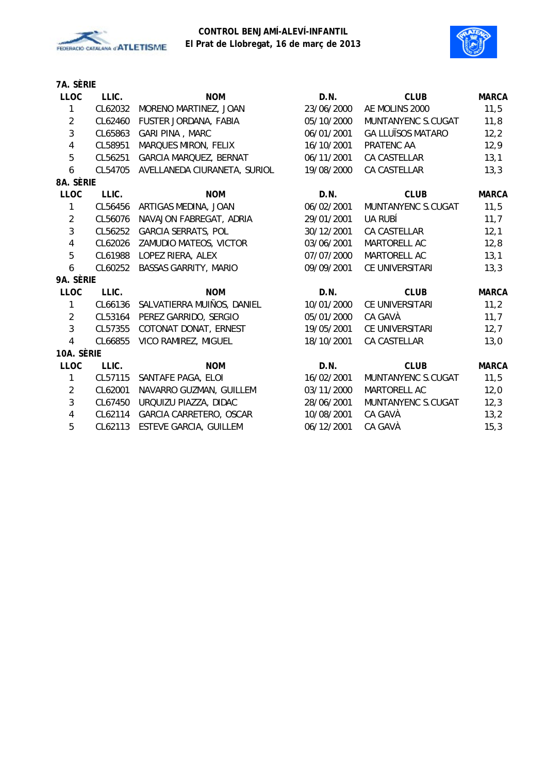



| <b>LLOC</b>    | LLIC.   | <b>NOM</b>                    | D.N.       | <b>CLUB</b>              | <b>MARCA</b> |
|----------------|---------|-------------------------------|------------|--------------------------|--------------|
| 1              | CL62032 | MORENO MARTINEZ, JOAN         | 23/06/2000 | AE MOLINS 2000           | 11,5         |
| $\overline{2}$ | CL62460 | FUSTER JORDANA, FABIA         | 05/10/2000 | MUNTANYENC S.CUGAT       | 11,8         |
| 3              | CL65863 | <b>GARI PINA, MARC</b>        | 06/01/2001 | <b>GA LLUÏSOS MATARO</b> | 12, 2        |
| 4              | CL58951 | MARQUES MIRON, FELIX          | 16/10/2001 | PRATENC AA               | 12,9         |
| 5              | CL56251 | GARCIA MARQUEZ, BERNAT        | 06/11/2001 | CA CASTELLAR             | 13,1         |
| 6              | CL54705 | AVELLANEDA CIURANETA, SURIOL  | 19/08/2000 | CA CASTELLAR             | 13,3         |
| 8A. SÈRIE      |         |                               |            |                          |              |
| <b>LLOC</b>    | LLIC.   | <b>NOM</b>                    | D.N.       | <b>CLUB</b>              | <b>MARCA</b> |
| 1              | CL56456 | ARTIGAS MEDINA, JOAN          | 06/02/2001 | MUNTANYENC S.CUGAT       | 11,5         |
| $\sqrt{2}$     | CL56076 | NAVAJON FABREGAT, ADRIA       | 29/01/2001 | UA RUBÍ                  | 11,7         |
| 3              | CL56252 | <b>GARCIA SERRATS, POL</b>    | 30/12/2001 | CA CASTELLAR             | 12,1         |
| $\sqrt{4}$     | CL62026 | ZAMUDIO MATEOS, VICTOR        | 03/06/2001 | MARTORELL AC             | 12,8         |
| 5              | CL61988 | LOPEZ RIERA, ALEX             | 07/07/2000 | MARTORELL AC             | 13,1         |
| 6              | CL60252 | <b>BASSAS GARRITY, MARIO</b>  | 09/09/2001 | CE UNIVERSITARI          | 13,3         |
| 9A. SÈRIE      |         |                               |            |                          |              |
| <b>LLOC</b>    | LLIC.   | <b>NOM</b>                    | D.N.       | <b>CLUB</b>              | <b>MARCA</b> |
| 1              | CL66136 | SALVATIERRA MUIÑOS, DANIEL    | 10/01/2000 | CE UNIVERSITARI          | 11,2         |
| $\overline{2}$ | CL53164 | PEREZ GARRIDO, SERGIO         | 05/01/2000 | CA GAVÀ                  | 11,7         |
| $\mathfrak{Z}$ | CL57355 | COTONAT DONAT, ERNEST         | 19/05/2001 | CE UNIVERSITARI          | 12,7         |
| 4              | CL66855 | VICO RAMIREZ, MIGUEL          | 18/10/2001 | CA CASTELLAR             | 13,0         |
| 10A. SÈRIE     |         |                               |            |                          |              |
| <b>LLOC</b>    | LLIC.   | <b>NOM</b>                    | D.N.       | <b>CLUB</b>              | <b>MARCA</b> |
| 1              | CL57115 | SANTAFE PAGA, ELOI            | 16/02/2001 | MUNTANYENC S.CUGAT       | 11,5         |
| $\overline{2}$ | CL62001 | NAVARRO GUZMAN, GUILLEM       | 03/11/2000 | MARTORELL AC             | 12,0         |
| $\mathfrak{Z}$ | CL67450 | URQUIZU PIAZZA, DIDAC         | 28/06/2001 | MUNTANYENC S.CUGAT       | 12,3         |
| 4              | CL62114 | GARCIA CARRETERO, OSCAR       | 10/08/2001 | CA GAVÀ                  | 13,2         |
| 5              | CL62113 | <b>ESTEVE GARCIA, GUILLEM</b> | 06/12/2001 | CA GAVÀ                  | 15,3         |
|                |         |                               |            |                          |              |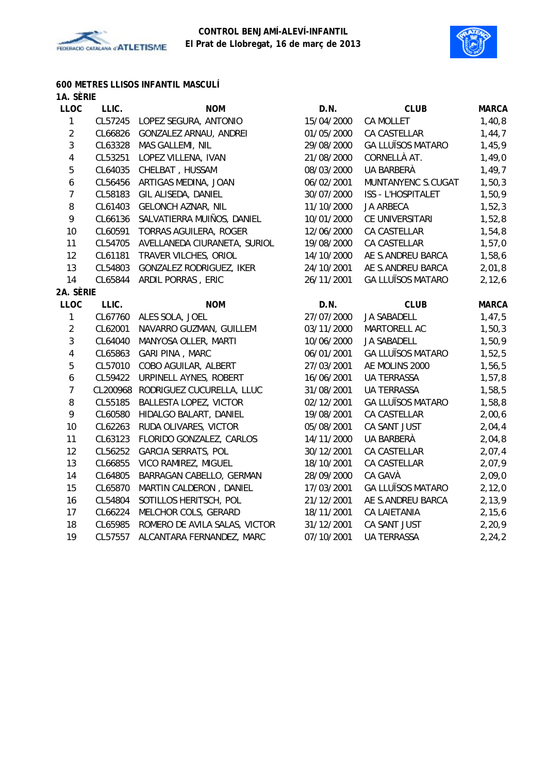



#### **600 METRES LLISOS INFANTIL MASCULÍ 1A. SÈRIE**

| <b>LLOC</b>      | LLIC.    | <b>NOM</b>                    | D.N.       | <b>CLUB</b>               | <b>MARCA</b> |
|------------------|----------|-------------------------------|------------|---------------------------|--------------|
| 1                | CL57245  | LOPEZ SEGURA, ANTONIO         | 15/04/2000 | CA MOLLET                 | 1,40,8       |
| $\sqrt{2}$       | CL66826  | GONZALEZ ARNAU, ANDREI        | 01/05/2000 | CA CASTELLAR              | 1,44,7       |
| 3                | CL63328  | MAS GALLEMI, NIL              | 29/08/2000 | <b>GA LLUÏSOS MATARO</b>  | 1,45,9       |
| 4                | CL53251  | LOPEZ VILLENA, IVAN           | 21/08/2000 | CORNELLÀ AT.              | 1,49,0       |
| 5                | CL64035  | CHELBAT, HUSSAM               | 08/03/2000 | UA BARBERÀ                | 1,49,7       |
| 6                | CL56456  | ARTIGAS MEDINA, JOAN          | 06/02/2001 | MUNTANYENC S.CUGAT        | 1, 50, 3     |
| $\overline{7}$   | CL58183  | GIL ALISEDA, DANIEL           | 30/07/2000 | <b>ISS - L'HOSPITALET</b> | 1,50,9       |
| $\, 8$           | CL61403  | <b>GELONCH AZNAR, NIL</b>     | 11/10/2000 | JA ARBECA                 | 1,52,3       |
| 9                | CL66136  | SALVATIERRA MUIÑOS, DANIEL    | 10/01/2000 | CE UNIVERSITARI           | 1,52,8       |
| 10               | CL60591  | TORRAS AGUILERA, ROGER        | 12/06/2000 | CA CASTELLAR              | 1,54,8       |
| 11               | CL54705  | AVELLANEDA CIURANETA, SURIOL  | 19/08/2000 | CA CASTELLAR              | 1, 57, 0     |
| 12               | CL61181  | TRAVER VILCHES, ORIOL         | 14/10/2000 | AE S.ANDREU BARCA         | 1,58,6       |
| 13               | CL54803  | GONZALEZ RODRIGUEZ, IKER      | 24/10/2001 | AE S.ANDREU BARCA         | 2,01,8       |
| 14               | CL65844  | ARDIL PORRAS, ERIC            | 26/11/2001 | <b>GA LLUÏSOS MATARO</b>  | 2, 12, 6     |
| 2A. SÈRIE        |          |                               |            |                           |              |
| <b>LLOC</b>      | LLIC.    | <b>NOM</b>                    | D.N.       | <b>CLUB</b>               | <b>MARCA</b> |
| $\mathbf{1}$     | CL67760  | ALES SOLA, JOEL               | 27/07/2000 | <b>JA SABADELL</b>        | 1,47,5       |
| $\overline{2}$   | CL62001  | NAVARRO GUZMAN, GUILLEM       | 03/11/2000 | MARTORELL AC              | 1, 50, 3     |
| $\mathfrak{Z}$   | CL64040  | MANYOSA OLLER, MARTI          | 10/06/2000 | <b>JA SABADELL</b>        | 1,50,9       |
| 4                | CL65863  | GARI PINA, MARC               | 06/01/2001 | <b>GA LLUÏSOS MATARO</b>  | 1,52,5       |
| 5                | CL57010  | COBO AGUILAR, ALBERT          | 27/03/2001 | AE MOLINS 2000            | 1,56,5       |
| $\boldsymbol{6}$ | CL59422  | URPINELL AYNES, ROBERT        | 16/06/2001 | <b>UA TERRASSA</b>        | 1,57,8       |
| $\overline{7}$   | CL200968 | RODRIGUEZ CUCURELLA, LLUC     | 31/08/2001 | <b>UA TERRASSA</b>        | 1,58,5       |
| $\, 8$           | CL55185  | <b>BALLESTA LOPEZ, VICTOR</b> | 02/12/2001 | <b>GA LLUÏSOS MATARO</b>  | 1,58,8       |
| 9                | CL60580  | HIDALGO BALART, DANIEL        | 19/08/2001 | CA CASTELLAR              | 2,00,6       |
| 10               | CL62263  | RUDA OLIVARES, VICTOR         | 05/08/2001 | CA SANT JUST              | 2,04,4       |
| 11               | CL63123  | FLORIDO GONZALEZ, CARLOS      | 14/11/2000 | UA BARBERÀ                | 2,04,8       |
| 12               | CL56252  | <b>GARCIA SERRATS, POL</b>    | 30/12/2001 | CA CASTELLAR              | 2,07,4       |
| 13               | CL66855  | VICO RAMIREZ, MIGUEL          | 18/10/2001 | CA CASTELLAR              | 2,07,9       |
| 14               | CL64805  | BARRAGAN CABELLO, GERMAN      | 28/09/2000 | CA GAVÀ                   | 2,09,0       |
| 15               | CL65870  | MARTIN CALDERON, DANIEL       | 17/03/2001 | <b>GA LLUÏSOS MATARO</b>  | 2,12,0       |
| 16               | CL54804  | SOTILLOS HERITSCH, POL        | 21/12/2001 | AE S.ANDREU BARCA         | 2,13,9       |
| 17               | CL66224  | MELCHOR COLS, GERARD          | 18/11/2001 | CA LAIETANIA              | 2, 15, 6     |
| 18               | CL65985  | ROMERO DE AVILA SALAS, VICTOR | 31/12/2001 | CA SANT JUST              | 2,20,9       |
| 19               | CL57557  | ALCANTARA FERNANDEZ, MARC     | 07/10/2001 | <b>UA TERRASSA</b>        | 2, 24, 2     |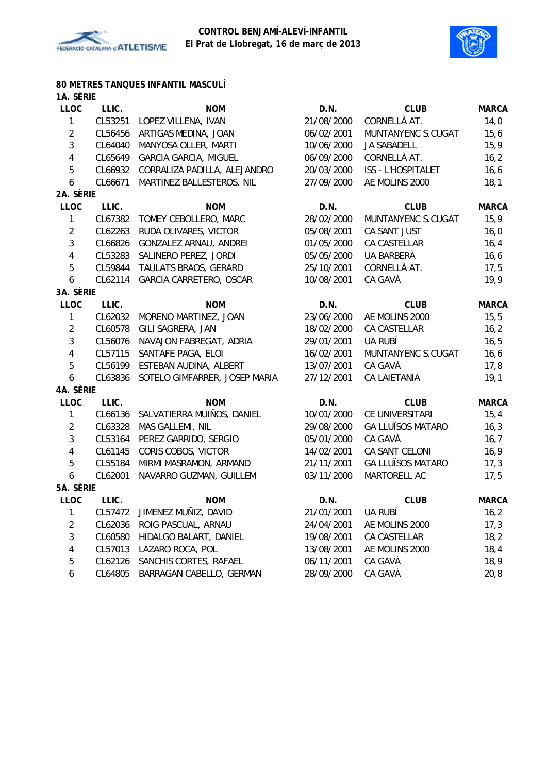



#### **80 METRES TANQUES INFANTIL MASCULÍ 1A. SÈRIE**

| <b>LLOC</b>             | LLIC.   | <b>NOM</b>                    | D.N.       | <b>CLUB</b>               | <b>MARCA</b> |
|-------------------------|---------|-------------------------------|------------|---------------------------|--------------|
| 1                       | CL53251 | LOPEZ VILLENA, IVAN           | 21/08/2000 | CORNELLÀ AT.              | 14,0         |
| $\overline{2}$          | CL56456 | ARTIGAS MEDINA, JOAN          | 06/02/2001 | MUNTANYENC S.CUGAT        | 15,6         |
| 3                       | CL64040 | MANYOSA OLLER, MARTI          | 10/06/2000 | JA SABADELL               | 15,9         |
| $\overline{\mathbf{4}}$ | CL65649 | <b>GARCIA GARCIA, MIGUEL</b>  | 06/09/2000 | CORNELLÀ AT.              | 16, 2        |
| 5                       | CL66932 | CORRALIZA PADILLA, ALEJANDRO  | 20/03/2000 | <b>ISS - L'HOSPITALET</b> | 16, 6        |
| 6                       | CL66671 | MARTINEZ BALLESTEROS, NIL     | 27/09/2000 | AE MOLINS 2000            | 18,1         |
| 2A. SÈRIE               |         |                               |            |                           |              |
| <b>LLOC</b>             | LLIC.   | <b>NOM</b>                    | D.N.       | <b>CLUB</b>               | <b>MARCA</b> |
| $\mathbf{1}$            | CL67382 | TOMEY CEBOLLERO, MARC         | 28/02/2000 | MUNTANYENC S.CUGAT        | 15,9         |
| $\overline{2}$          | CL62263 | RUDA OLIVARES, VICTOR         | 05/08/2001 | CA SANT JUST              | 16,0         |
| $\mathbf{3}$            | CL66826 | GONZALEZ ARNAU, ANDREI        | 01/05/2000 | CA CASTELLAR              | 16,4         |
| $\overline{4}$          | CL53283 | SALINERO PEREZ, JORDI         | 05/05/2000 | UA BARBERÀ                | 16, 6        |
| 5                       | CL59844 | TAULATS BRAOS, GERARD         | 25/10/2001 | CORNELLÀ AT.              | 17,5         |
| 6                       | CL62114 | GARCIA CARRETERO, OSCAR       | 10/08/2001 | CA GAVÀ                   | 19,9         |
| 3A. SÈRIE               |         |                               |            |                           |              |
| LLOC                    | LLIC.   | <b>NOM</b>                    | D.N.       | <b>CLUB</b>               | <b>MARCA</b> |
| $\mathbf{1}$            | CL62032 | MORENO MARTINEZ, JOAN         | 23/06/2000 | AE MOLINS 2000            | 15, 5        |
| $\overline{2}$          | CL60578 | GILI SAGRERA, JAN             | 18/02/2000 | CA CASTELLAR              | 16, 2        |
| $\mathfrak{Z}$          | CL56076 | NAVAJON FABREGAT, ADRIA       | 29/01/2001 | UA RUBÍ                   | 16, 5        |
| $\overline{\mathbf{4}}$ | CL57115 | SANTAFE PAGA, ELOI            | 16/02/2001 | MUNTANYENC S.CUGAT        | 16, 6        |
| 5                       | CL56199 | ESTEBAN AUDINA, ALBERT        | 13/07/2001 | CA GAVÀ                   | 17,8         |
| 6                       | CL63836 | SOTELO GIMFARRER, JOSEP MARIA | 27/12/2001 | <b>CA LAIETANIA</b>       | 19,1         |
| 4A. SÈRIE               |         |                               |            |                           |              |
| <b>LLOC</b>             | LLIC.   | <b>NOM</b>                    | D.N.       | <b>CLUB</b>               | <b>MARCA</b> |
| 1                       | CL66136 | SALVATIERRA MUIÑOS, DANIEL    | 10/01/2000 | CE UNIVERSITARI           | 15,4         |
| $\overline{2}$          | CL63328 | MAS GALLEMI, NIL              | 29/08/2000 | <b>GA LLUÏSOS MATARO</b>  | 16,3         |
| 3                       | CL53164 | PEREZ GARRIDO, SERGIO         | 05/01/2000 | CA GAVÀ                   | 16,7         |
| $\overline{4}$          | CL61145 | CORIS COBOS, VICTOR           | 14/02/2001 | CA SANT CELONI            | 16,9         |
| $\sqrt{5}$              | CL55184 | MIRMI MASRAMON, ARMAND        | 21/11/2001 | <b>GA LLUÏSOS MATARO</b>  | 17,3         |
| 6                       | CL62001 | NAVARRO GUZMAN, GUILLEM       | 03/11/2000 | MARTORELL AC              | 17,5         |
| 5A. SÈRIE               |         |                               |            |                           |              |
| <b>LLOC</b>             | LLIC.   | <b>NOM</b>                    | D.N.       | <b>CLUB</b>               | <b>MARCA</b> |
| $\mathbf{1}$            | CL57472 | JIMENEZ MUÑIZ, DAVID          | 21/01/2001 | UA RUBÍ                   | 16,2         |
| $\overline{2}$          | CL62036 | ROIG PASCUAL, ARNAU           | 24/04/2001 | AE MOLINS 2000            | 17,3         |
| $\mathbf{3}$            | CL60580 | HIDALGO BALART, DANIEL        | 19/08/2001 | CA CASTELLAR              | 18,2         |
| $\overline{\mathbf{4}}$ | CL57013 | LAZARO ROCA, POL              | 13/08/2001 | AE MOLINS 2000            | 18,4         |
| 5                       | CL62126 | SANCHIS CORTES, RAFAEL        | 06/11/2001 | CA GAVÀ                   | 18,9         |
| 6                       | CL64805 | BARRAGAN CABELLO, GERMAN      | 28/09/2000 | CA GAVÀ                   | 20,8         |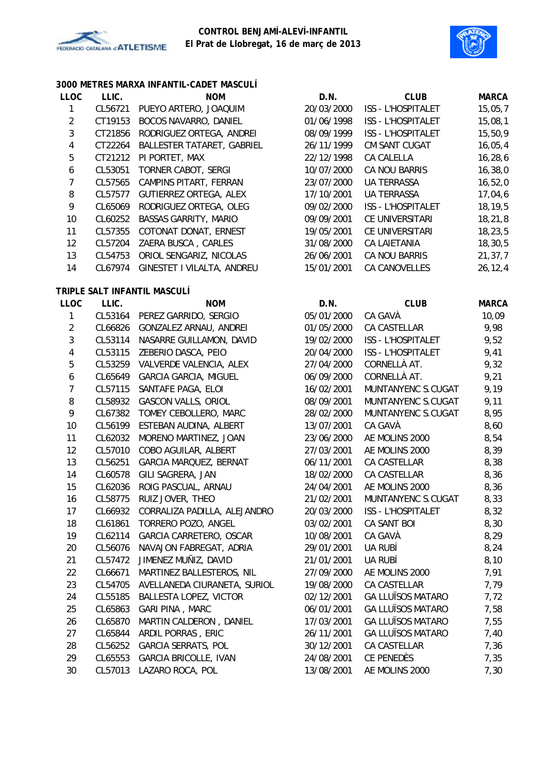



#### **3000 METRES MARXA INFANTIL-CADET MASCULÍ**

| LLOC | LLIC.   | <b>NOM</b>                   | D.N.       | <b>CLUB</b>               | <b>MARCA</b> |
|------|---------|------------------------------|------------|---------------------------|--------------|
|      | CL56721 | PUEYO ARTERO, JOAQUIM        | 20/03/2000 | <b>ISS - L'HOSPITALET</b> | 15,05,7      |
| 2    | CT19153 | BOCOS NAVARRO, DANIEL        | 01/06/1998 | ISS - L'HOSPITALET        | 15,08,1      |
| 3    | CT21856 | RODRIGUEZ ORTEGA, ANDREI     | 08/09/1999 | <b>ISS - L'HOSPITALET</b> | 15, 50, 9    |
| 4    | CT22264 | BALLESTER TATARET, GABRIEL   | 26/11/1999 | <b>CM SANT CUGAT</b>      | 16,05,4      |
| 5    | CT21212 | PI PORTET, MAX               | 22/12/1998 | CA CALELLA                | 16, 28, 6    |
| 6    | CL53051 | TORNER CABOT, SERGI          | 10/07/2000 | CA NOU BARRIS             | 16, 38, 0    |
|      | CL57565 | CAMPINS PITART, FERRAN       | 23/07/2000 | UA TERRASSA               | 16, 52, 0    |
| 8    | CL57577 | GUTIERREZ ORTEGA, ALEX       | 17/10/2001 | UA TERRASSA               | 17,04,6      |
| 9    | CL65069 | RODRIGUEZ ORTEGA, OLEG       | 09/02/2000 | <b>ISS - L'HOSPITALET</b> | 18, 19, 5    |
| 10   | CL60252 | <b>BASSAS GARRITY, MARIO</b> | 09/09/2001 | CE UNIVERSITARI           | 18, 21, 8    |
| 11   | CL57355 | COTONAT DONAT, ERNEST        | 19/05/2001 | CE UNIVERSITARI           | 18, 23, 5    |
| 12   | CL57204 | ZAERA BUSCA, CARLES          | 31/08/2000 | <b>CA LAIETANIA</b>       | 18, 30, 5    |
| 13   | CL54753 | ORIOL SENGARIZ, NICOLAS      | 26/06/2001 | CA NOU BARRIS             | 21, 37, 7    |
| 14   | CL67974 | GINESTET I VILALTA, ANDREU   | 15/01/2001 | <b>CA CANOVELLES</b>      | 26, 12, 4    |
|      |         |                              |            |                           |              |

# **TRIPLE SALT INFANTIL MASCULÍ**

| LLOC             | LLIC.   | <b>NOM</b>                    | D.N.       | <b>CLUB</b>               | <b>MARCA</b> |
|------------------|---------|-------------------------------|------------|---------------------------|--------------|
| $\mathbf{1}$     |         | CL53164 PEREZ GARRIDO, SERGIO | 05/01/2000 | CA GAVÀ                   | 10,09        |
| $\overline{2}$   | CL66826 | GONZALEZ ARNAU, ANDREI        | 01/05/2000 | CA CASTELLAR              | 9,98         |
| $\mathfrak{Z}$   | CL53114 | NASARRE GUILLAMON, DAVID      | 19/02/2000 | ISS - L'HOSPITALET        | 9,52         |
| 4                | CL53115 | ZEBERIO DASCA, PEIO           | 20/04/2000 | <b>ISS - L'HOSPITALET</b> | 9,41         |
| 5                | CL53259 | VALVERDE VALENCIA, ALEX       | 27/04/2000 | CORNELLÀ AT.              | 9,32         |
| $\boldsymbol{6}$ | CL65649 | <b>GARCIA GARCIA, MIGUEL</b>  | 06/09/2000 | CORNELLÀ AT.              | 9,21         |
| $\overline{7}$   | CL57115 | SANTAFE PAGA, ELOI            | 16/02/2001 | MUNTANYENC S.CUGAT        | 9,19         |
| 8                | CL58932 | <b>GASCON VALLS, ORIOL</b>    | 08/09/2001 | MUNTANYENC S.CUGAT        | 9,11         |
| 9                | CL67382 | TOMEY CEBOLLERO, MARC         | 28/02/2000 | MUNTANYENC S.CUGAT        | 8,95         |
| 10               | CL56199 | ESTEBAN AUDINA, ALBERT        | 13/07/2001 | CA GAVÀ                   | 8,60         |
| 11               | CL62032 | MORENO MARTINEZ, JOAN         | 23/06/2000 | AE MOLINS 2000            | 8,54         |
| 12               | CL57010 | COBO AGUILAR, ALBERT          | 27/03/2001 | AE MOLINS 2000            | 8,39         |
| 13               | CL56251 | GARCIA MARQUEZ, BERNAT        | 06/11/2001 | CA CASTELLAR              | 8,38         |
| 14               | CL60578 | GILI SAGRERA, JAN             | 18/02/2000 | CA CASTELLAR              | 8,36         |
| 15               | CL62036 | ROIG PASCUAL, ARNAU           | 24/04/2001 | AE MOLINS 2000            | 8,36         |
| 16               | CL58775 | RUIZ JOVER, THEO              | 21/02/2001 | MUNTANYENC S.CUGAT        | 8,33         |
| 17               | CL66932 | CORRALIZA PADILLA, ALEJANDRO  | 20/03/2000 | ISS - L'HOSPITALET        | 8,32         |
| 18               | CL61861 | TORRERO POZO, ANGEL           | 03/02/2001 | <b>CA SANT BOI</b>        | 8,30         |
| 19               | CL62114 | GARCIA CARRETERO, OSCAR       | 10/08/2001 | CA GAVÀ                   | 8,29         |
| 20               | CL56076 | NAVAJON FABREGAT, ADRIA       | 29/01/2001 | UA RUBÍ                   | 8,24         |
| 21               | CL57472 | JIMENEZ MUÑIZ, DAVID          | 21/01/2001 | UA RUBÍ                   | 8,10         |
| 22               | CL66671 | MARTINEZ BALLESTEROS, NIL     | 27/09/2000 | AE MOLINS 2000            | 7,91         |
| 23               | CL54705 | AVELLANEDA CIURANETA, SURIOL  | 19/08/2000 | CA CASTELLAR              | 7,79         |
| 24               | CL55185 | <b>BALLESTA LOPEZ, VICTOR</b> | 02/12/2001 | <b>GA LLUÏSOS MATARO</b>  | 7,72         |
| 25               | CL65863 | <b>GARI PINA, MARC</b>        | 06/01/2001 | <b>GA LLUÏSOS MATARO</b>  | 7,58         |
| 26               | CL65870 | MARTIN CALDERON, DANIEL       | 17/03/2001 | <b>GA LLUÏSOS MATARO</b>  | 7,55         |
| 27               | CL65844 | ARDIL PORRAS, ERIC            | 26/11/2001 | <b>GA LLUÏSOS MATARO</b>  | 7,40         |
| 28               | CL56252 | <b>GARCIA SERRATS, POL</b>    | 30/12/2001 | CA CASTELLAR              | 7,36         |
| 29               | CL65553 | <b>GARCIA BRICOLLE, IVAN</b>  | 24/08/2001 | CE PENEDÈS                | 7,35         |
| 30               | CL57013 | LAZARO ROCA, POL              | 13/08/2001 | AE MOLINS 2000            | 7,30         |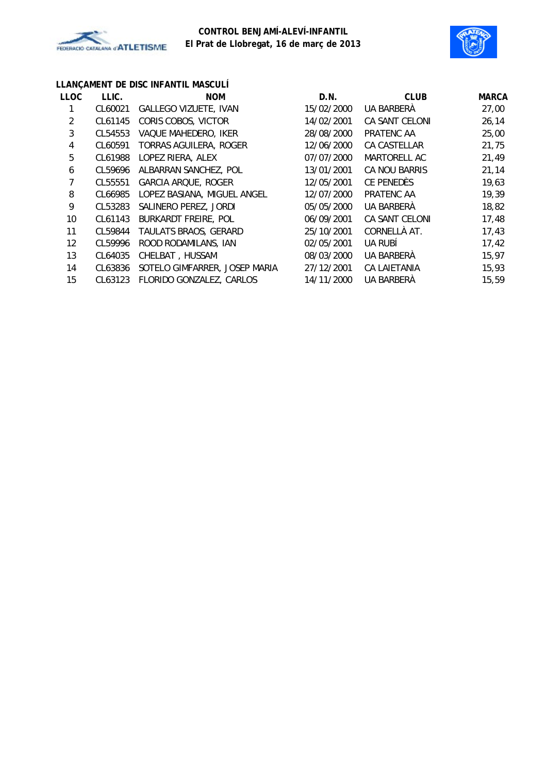



# **LLANÇAMENT DE DISC INFANTIL MASCULÍ**

| <b>LLOC</b> | LLIC.   | <b>NOM</b>                    | D.N.       | <b>CLUB</b>         | <b>MARCA</b> |
|-------------|---------|-------------------------------|------------|---------------------|--------------|
|             | CL60021 | <b>GALLEGO VIZUETE, IVAN</b>  | 15/02/2000 | UA BARBERÀ          | 27,00        |
| 2           | CL61145 | CORIS COBOS, VICTOR           | 14/02/2001 | CA SANT CELONI      | 26, 14       |
| 3           | CL54553 | VAQUE MAHEDERO, IKER          | 28/08/2000 | PRATENC AA          | 25,00        |
| 4           | CL60591 | TORRAS AGUILERA, ROGER        | 12/06/2000 | CA CASTELLAR        | 21,75        |
| 5           | CL61988 | LOPEZ RIERA, ALEX             | 07/07/2000 | MARTORELL AC        | 21,49        |
| 6           | CL59696 | ALBARRAN SANCHEZ, POL         | 13/01/2001 | CA NOU BARRIS       | 21,14        |
| 7           | CL55551 | <b>GARCIA ARQUE, ROGER</b>    | 12/05/2001 | <b>CE PENEDÈS</b>   | 19,63        |
| 8           | CL66985 | LOPEZ BASIANA, MIGUEL ANGEL   | 12/07/2000 | PRATENC AA          | 19,39        |
| 9           | CL53283 | SALINERO PEREZ, JORDI         | 05/05/2000 | UA BARBERÀ          | 18,82        |
| 10          | CL61143 | <b>BURKARDT FREIRE, POL</b>   | 06/09/2001 | CA SANT CELONI      | 17,48        |
| 11          | CL59844 | TAULATS BRAOS, GERARD         | 25/10/2001 | CORNELLÀ AT.        | 17,43        |
| 12          | CL59996 | ROOD RODAMILANS, IAN          | 02/05/2001 | UA RUBÍ             | 17,42        |
| 13          | CL64035 | CHELBAT, HUSSAM               | 08/03/2000 | UA BARBERÀ          | 15,97        |
| 14          | CL63836 | SOTELO GIMFARRER, JOSEP MARIA | 27/12/2001 | <b>CA LAIETANIA</b> | 15,93        |
| 15          | CL63123 | FLORIDO GONZALEZ, CARLOS      | 14/11/2000 | UA BARBERÀ          | 15,59        |
|             |         |                               |            |                     |              |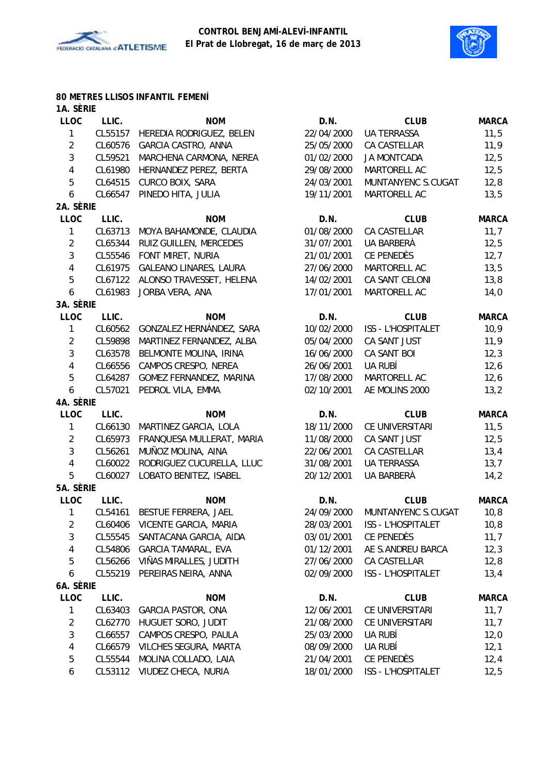



#### **80 METRES LLISOS INFANTIL FEMENÍ 1A. SÈRIE**

| IA. JLINL      |         |                               |            |                           |              |
|----------------|---------|-------------------------------|------------|---------------------------|--------------|
| <b>LLOC</b>    | LLIC.   | <b>NOM</b>                    | D.N.       | <b>CLUB</b>               | <b>MARCA</b> |
| $\mathbf{1}$   | CL55157 | HEREDIA RODRIGUEZ, BELEN      | 22/04/2000 | <b>UA TERRASSA</b>        | 11,5         |
| $\overline{2}$ | CL60576 | GARCIA CASTRO, ANNA           | 25/05/2000 | CA CASTELLAR              | 11,9         |
| $\mathfrak{Z}$ | CL59521 | MARCHENA CARMONA, NEREA       | 01/02/2000 | <b>JA MONTCADA</b>        | 12,5         |
| $\overline{4}$ | CL61980 | HERNANDEZ PEREZ, BERTA        | 29/08/2000 | MARTORELL AC              | 12,5         |
| 5              | CL64515 | CURCO BOIX, SARA              | 24/03/2001 | MUNTANYENC S.CUGAT        | 12,8         |
| 6              | CL66547 | PINEDO HITA, JULIA            | 19/11/2001 | MARTORELL AC              | 13,5         |
| 2A. SÈRIE      |         |                               |            |                           |              |
| <b>LLOC</b>    | LLIC.   | <b>NOM</b>                    | D.N.       | <b>CLUB</b>               | <b>MARCA</b> |
| 1              | CL63713 | MOYA BAHAMONDE, CLAUDIA       | 01/08/2000 | CA CASTELLAR              | 11,7         |
| $\overline{2}$ | CL65344 | RUIZ GUILLEN, MERCEDES        | 31/07/2001 | UA BARBERÀ                | 12,5         |
| $\mathfrak{Z}$ | CL55546 | FONT MIRET, NURIA             | 21/01/2001 | CE PENEDÈS                | 12,7         |
| $\sqrt{4}$     | CL61975 | <b>GALEANO LINARES, LAURA</b> | 27/06/2000 | MARTORELL AC              | 13,5         |
| 5              | CL67122 | ALONSO TRAVESSET, HELENA      | 14/02/2001 | CA SANT CELONI            | 13,8         |
| 6              | CL61983 | JORBA VERA, ANA               | 17/01/2001 | MARTORELL AC              | 14,0         |
| 3A. SÈRIE      |         |                               |            |                           |              |
| <b>LLOC</b>    | LLIC.   | <b>NOM</b>                    | D.N.       | <b>CLUB</b>               | <b>MARCA</b> |
| $\mathbf{1}$   | CL60562 | GONZALEZ HERNÁNDEZ, SARA      | 10/02/2000 | <b>ISS - L'HOSPITALET</b> | 10,9         |
| $\overline{2}$ | CL59898 | MARTINEZ FERNANDEZ, ALBA      | 05/04/2000 | CA SANT JUST              | 11,9         |
| $\mathbf{3}$   | CL63578 | BELMONTE MOLINA, IRINA        | 16/06/2000 | CA SANT BOI               | 12,3         |
| $\overline{4}$ | CL66556 | CAMPOS CRESPO, NEREA          | 26/06/2001 | UA RUBÍ                   | 12,6         |
| 5              | CL64287 | GOMEZ FERNANDEZ, MARINA       | 17/08/2000 | MARTORELL AC              | 12,6         |
| 6              | CL57021 | PEDROL VILA, EMMA             | 02/10/2001 | AE MOLINS 2000            | 13,2         |
| 4A. SÈRIE      |         |                               |            |                           |              |
| <b>LLOC</b>    | LLIC.   | <b>NOM</b>                    | D.N.       | <b>CLUB</b>               | <b>MARCA</b> |
| 1              | CL66130 | MARTINEZ GARCIA, LOLA         | 18/11/2000 | CE UNIVERSITARI           | 11,5         |
| $\overline{2}$ | CL65973 | FRANQUESA MULLERAT, MARIA     | 11/08/2000 | CA SANT JUST              | 12,5         |
| $\mathfrak{Z}$ | CL56261 | MUÑOZ MOLINA, AINA            | 22/06/2001 | CA CASTELLAR              | 13,4         |
| $\overline{4}$ | CL60022 | RODRIGUEZ CUCURELLA, LLUC     | 31/08/2001 | <b>UA TERRASSA</b>        | 13,7         |
| 5              | CL60027 | LOBATO BENITEZ, ISABEL        | 20/12/2001 | UA BARBERÀ                | 14,2         |
| 5A. SÈRIE      |         |                               |            |                           |              |
| <b>LLOC</b>    | LLIC.   | <b>NOM</b>                    | D.N.       | <b>CLUB</b>               | <b>MARCA</b> |
| $\mathbf{1}$   | CL54161 | BESTUE FERRERA, JAEL          | 24/09/2000 | MUNTANYENC S.CUGAT        | 10, 8        |
| 2              | CL60406 | VICENTE GARCIA, MARIA         | 28/03/2001 | ISS - L'HOSPITALET        | 10,8         |
| 3              | CL55545 | SANTACANA GARCIA, AIDA        | 03/01/2001 | CE PENEDÈS                | 11,7         |
| $\overline{4}$ | CL54806 | <b>GARCIA TAMARAL, EVA</b>    | 01/12/2001 | AE S.ANDREU BARCA         | 12,3         |
| 5              | CL56266 | VIÑAS MIRALLES, JUDITH        | 27/06/2000 | CA CASTELLAR              | 12,8         |
| 6              | CL55219 | PEREIRAS NEIRA, ANNA          | 02/09/2000 | <b>ISS - L'HOSPITALET</b> | 13,4         |
| 6A. SÈRIE      |         |                               |            |                           |              |
| LLOC           | LLIC.   | <b>NOM</b>                    | D.N.       | <b>CLUB</b>               | <b>MARCA</b> |
| 1              | CL63403 | <b>GARCIA PASTOR, ONA</b>     | 12/06/2001 | CE UNIVERSITARI           | 11,7         |
| $\overline{2}$ | CL62770 | HUGUET SORO, JUDIT            | 21/08/2000 | CE UNIVERSITARI           | 11,7         |
| $\sqrt{3}$     | CL66557 | CAMPOS CRESPO, PAULA          | 25/03/2000 | UA RUBÍ                   | 12,0         |
| $\overline{4}$ | CL66579 | VILCHES SEGURA, MARTA         | 08/09/2000 | UA RUBÍ                   | 12,1         |
| 5              | CL55544 | MOLINA COLLADO, LAIA          | 21/04/2001 | CE PENEDÈS                | 12,4         |
| 6              |         | CL53112 VIUDEZ CHECA, NURIA   | 18/01/2000 | ISS - L'HOSPITALET        | 12,5         |
|                |         |                               |            |                           |              |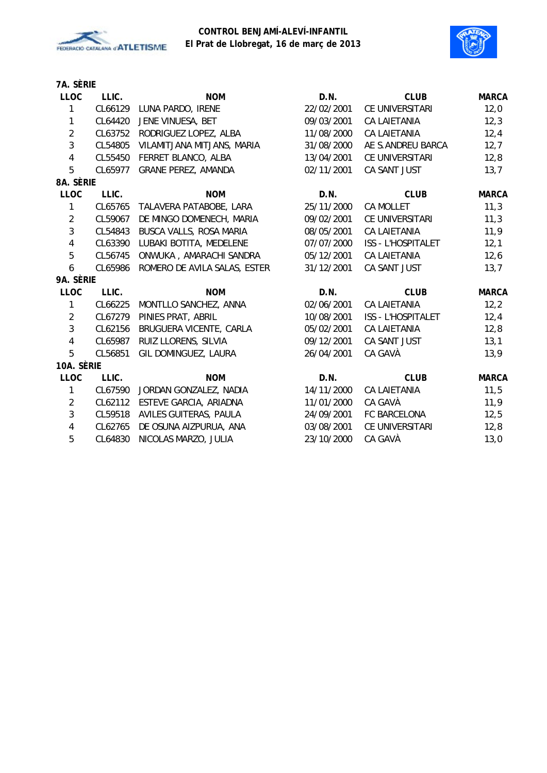



| <b>LLOC</b>             | LLIC.   | <b>NOM</b>                      | D.N.       | <b>CLUB</b>               | <b>MARCA</b> |
|-------------------------|---------|---------------------------------|------------|---------------------------|--------------|
| 1                       | CL66129 | LUNA PARDO, IRENE               | 22/02/2001 | CE UNIVERSITARI           | 12,0         |
| 1                       | CL64420 | JENE VINUESA, BET               | 09/03/2001 | CA LAIETANIA              | 12,3         |
| $\sqrt{2}$              | CL63752 | RODRIGUEZ LOPEZ, ALBA           | 11/08/2000 | <b>CA LAIETANIA</b>       | 12,4         |
| $\mathbf{3}$            | CL54805 | VILAMITJANA MITJANS, MARIA      | 31/08/2000 | AE S.ANDREU BARCA         | 12,7         |
| $\overline{\mathbf{4}}$ |         | CL55450 FERRET BLANCO, ALBA     | 13/04/2001 | CE UNIVERSITARI           | 12,8         |
| 5                       | CL65977 | <b>GRANE PEREZ, AMANDA</b>      | 02/11/2001 | CA SANT JUST              | 13,7         |
| 8A. SÈRIE               |         |                                 |            |                           |              |
| <b>LLOC</b>             | LLIC.   | <b>NOM</b>                      | D.N.       | <b>CLUB</b>               | <b>MARCA</b> |
| 1                       | CL65765 | TALAVERA PATABOBE, LARA         | 25/11/2000 | <b>CA MOLLET</b>          | 11,3         |
| $\overline{2}$          | CL59067 | DE MINGO DOMENECH, MARIA        | 09/02/2001 | CE UNIVERSITARI           | 11,3         |
| $\mathbf{3}$            | CL54843 | BUSCA VALLS, ROSA MARIA         | 08/05/2001 | CA LAIETANIA              | 11,9         |
| $\overline{\mathbf{4}}$ |         | CL63390 LUBAKI BOTITA, MEDELENE | 07/07/2000 | <b>ISS - L'HOSPITALET</b> | 12,1         |
| 5                       | CL56745 | ONWUKA, AMARACHI SANDRA         | 05/12/2001 | <b>CA LAIETANIA</b>       | 12,6         |
| 6                       | CL65986 | ROMERO DE AVILA SALAS, ESTER    | 31/12/2001 | CA SANT JUST              | 13,7         |
| 9A. SÈRIE               |         |                                 |            |                           |              |
| LLOC                    | LLIC.   | <b>NOM</b>                      | D.N.       | <b>CLUB</b>               | <b>MARCA</b> |
| 1                       | CL66225 | MONTLLO SANCHEZ, ANNA           | 02/06/2001 | <b>CA LAIETANIA</b>       | 12,2         |
| $\overline{2}$          | CL67279 | PINIES PRAT, ABRIL              | 10/08/2001 | <b>ISS - L'HOSPITALET</b> | 12,4         |
| $\mathbf{3}$            | CL62156 | BRUGUERA VICENTE, CARLA         | 05/02/2001 | CA LAIETANIA              | 12,8         |
| 4                       | CL65987 | RUIZ LLORENS, SILVIA            | 09/12/2001 | CA SANT JUST              | 13,1         |
| 5                       | CL56851 | GIL DOMINGUEZ, LAURA            | 26/04/2001 | CA GAVÀ                   | 13,9         |
| 10A. SÈRIE              |         |                                 |            |                           |              |
| <b>LLOC</b>             | LLIC.   | <b>NOM</b>                      | D.N.       | <b>CLUB</b>               | <b>MARCA</b> |
| 1                       | CL67590 | JORDAN GONZALEZ, NADIA          | 14/11/2000 | CA LAIETANIA              | 11,5         |
| $\overline{2}$          | CL62112 | ESTEVE GARCIA, ARIADNA          | 11/01/2000 | CA GAVÀ                   | 11,9         |
| $\mathbf{3}$            |         | CL59518 AVILES GUITERAS, PAULA  | 24/09/2001 | FC BARCELONA              | 12,5         |
| $\overline{\mathbf{4}}$ | CL62765 | DE OSUNA AIZPURUA, ANA          | 03/08/2001 | CE UNIVERSITARI           | 12,8         |
| 5                       | CL64830 | NICOLAS MARZO, JULIA            | 23/10/2000 | CA GAVÀ                   | 13,0         |
|                         |         |                                 |            |                           |              |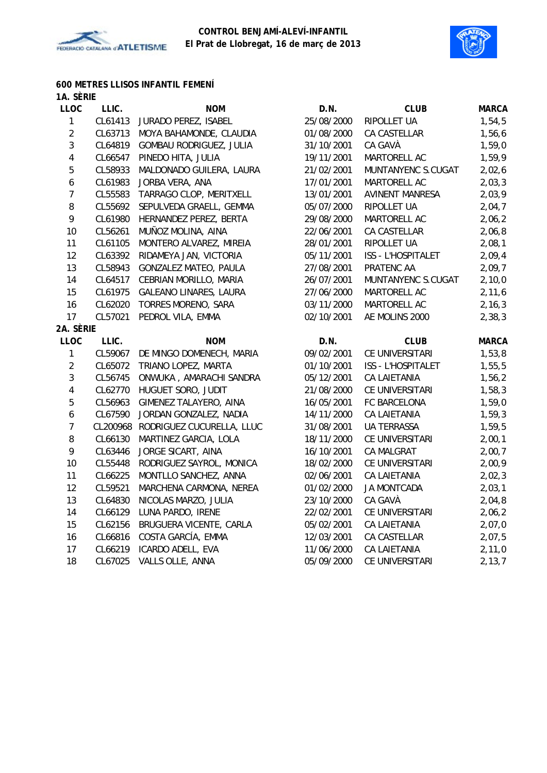



#### **600 METRES LLISOS INFANTIL FEMENÍ 1A. SÈRIE**

| <b>LLOC</b>             | LLIC.              | <b>NOM</b>                            | D.N.                     | <b>CLUB</b>                     | <b>MARCA</b>         |
|-------------------------|--------------------|---------------------------------------|--------------------------|---------------------------------|----------------------|
| $\mathbf{1}$            | CL61413            | JURADO PEREZ, ISABEL                  | 25/08/2000               | RIPOLLET UA                     | 1,54,5               |
| $\sqrt{2}$              | CL63713            | MOYA BAHAMONDE, CLAUDIA               | 01/08/2000               | CA CASTELLAR                    | 1,56,6               |
| 3                       | CL64819            | <b>GOMBAU RODRIGUEZ, JULIA</b>        | 31/10/2001               | CA GAVÀ                         | 1,59,0               |
| $\overline{\mathbf{4}}$ | CL66547            | PINEDO HITA, JULIA                    | 19/11/2001               | MARTORELL AC                    | 1,59,9               |
| 5                       | CL58933            | MALDONADO GUILERA, LAURA              | 21/02/2001               | MUNTANYENC S.CUGAT              | 2,02,6               |
| $\boldsymbol{6}$        | CL61983            | JORBA VERA, ANA                       | 17/01/2001               | MARTORELL AC                    | 2,03,3               |
| $\overline{7}$          | CL55583            | TARRAGO CLOP, MERITXELL               | 13/01/2001               | <b>AVINENT MANRESA</b>          | 2,03,9               |
| 8                       | CL55692            | SEPULVEDA GRAELL, GEMMA               | 05/07/2000               | RIPOLLET UA                     | 2,04,7               |
| 9                       | CL61980            | HERNANDEZ PEREZ, BERTA                | 29/08/2000               | MARTORELL AC                    | 2,06,2               |
| 10                      | CL56261            | MUÑOZ MOLINA, AINA                    | 22/06/2001               | CA CASTELLAR                    | 2,06,8               |
| 11                      | CL61105            | MONTERO ALVAREZ, MIREIA               | 28/01/2001               | RIPOLLET UA                     | 2,08,1               |
| 12                      | CL63392            | RIDAMEYA JAN, VICTORIA                | 05/11/2001               | ISS - L'HOSPITALET              | 2,09,4               |
| 13                      | CL58943            | GONZALEZ MATEO, PAULA                 | 27/08/2001               | PRATENC AA                      | 2,09,7               |
| 14                      | CL64517            | CEBRIAN MORILLO, MARIA                | 26/07/2001               | MUNTANYENC S.CUGAT              | 2,10,0               |
| 15                      | CL61975            | <b>GALEANO LINARES, LAURA</b>         | 27/06/2000               | MARTORELL AC                    | 2, 11, 6             |
| 16                      | CL62020            | TORRES MORENO, SARA                   | 03/11/2000               | MARTORELL AC                    | 2, 16, 3             |
| 17                      | CL57021            | PEDROL VILA, EMMA                     | 02/10/2001               | AE MOLINS 2000                  | 2, 38, 3             |
| 2A. SÈRIE               |                    |                                       |                          |                                 |                      |
|                         |                    |                                       |                          |                                 |                      |
| <b>LLOC</b>             | LLIC.              | <b>NOM</b>                            | D.N.                     | <b>CLUB</b>                     | <b>MARCA</b>         |
| 1                       | CL59067            | DE MINGO DOMENECH, MARIA              | 09/02/2001               | CE UNIVERSITARI                 | 1,53,8               |
| $\overline{2}$          | CL65072            | TRIANO LOPEZ, MARTA                   | 01/10/2001               | <b>ISS - L'HOSPITALET</b>       | 1,55,5               |
| $\mathfrak{Z}$          | CL56745            | ONWUKA, AMARACHI SANDRA               | 05/12/2001               | CA LAIETANIA                    | 1,56,2               |
| $\overline{\mathbf{4}}$ | CL62770            | HUGUET SORO, JUDIT                    | 21/08/2000               | CE UNIVERSITARI                 | 1,58,3               |
| 5                       | CL56963            | GIMENEZ TALAYERO, AINA                | 16/05/2001               | FC BARCELONA                    | 1,59,0               |
| $\boldsymbol{6}$        | CL67590            | JORDAN GONZALEZ, NADIA                | 14/11/2000               | CA LAIETANIA                    | 1, 59, 3             |
| $\overline{7}$          | CL200968           | RODRIGUEZ CUCURELLA, LLUC             | 31/08/2001               | <b>UA TERRASSA</b>              | 1,59,5               |
| $\, 8$                  | CL66130            | MARTINEZ GARCIA, LOLA                 | 18/11/2000               | CE UNIVERSITARI                 | 2,00,1               |
| 9                       | CL63446            | JORGE SICART, AINA                    | 16/10/2001               | CA MALGRAT                      | 2,00,7               |
| 10                      | CL55448            | RODRIGUEZ SAYROL, MONICA              | 18/02/2000               | CE UNIVERSITARI                 | 2,00,9               |
| 11                      | CL66225            | MONTLLO SANCHEZ, ANNA                 | 02/06/2001               | CA LAIETANIA                    | 2,02,3               |
| 12                      | CL59521            | MARCHENA CARMONA, NEREA               | 01/02/2000               | <b>JA MONTCADA</b>              | 2,03,1               |
| 13                      | CL64830            | NICOLAS MARZO, JULIA                  | 23/10/2000               | CA GAVÀ                         | 2,04,8               |
| 14                      | CL66129            | LUNA PARDO, IRENE                     | 22/02/2001               | CE UNIVERSITARI                 | 2,06,2               |
| 15                      | CL62156            | BRUGUERA VICENTE, CARLA               | 05/02/2001               | CA LAIETANIA                    | 2,07,0               |
| 16                      | CL66816            | COSTA GARCÍA, EMMA                    | 12/03/2001               | CA CASTELLAR                    | 2,07,5               |
| 17<br>18                | CL66219<br>CL67025 | ICARDO ADELL, EVA<br>VALLS OLLE, ANNA | 11/06/2000<br>05/09/2000 | CA LAIETANIA<br>CE UNIVERSITARI | 2, 11, 0<br>2, 13, 7 |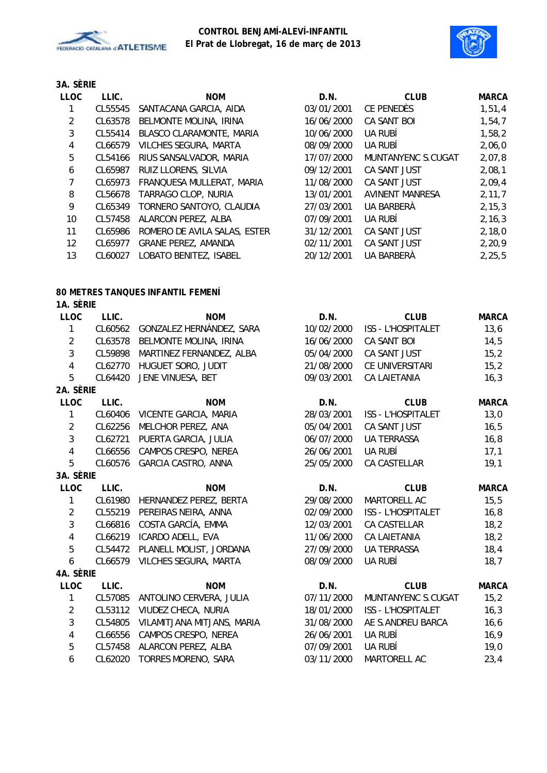



# **3A. SÈRIE**

| <b>LLOC</b>   | LLIC.   | <b>NOM</b>                      | D.N.       | <b>CLUB</b>            | <b>MARCA</b> |
|---------------|---------|---------------------------------|------------|------------------------|--------------|
|               | CL55545 | SANTACANA GARCIA, AIDA          | 03/01/2001 | CE PENEDÈS             | 1,51,4       |
| $\mathcal{P}$ | CL63578 | BELMONTE MOLINA, IRINA          | 16/06/2000 | CA SANT BOI            | 1,54,7       |
| 3             | CL55414 | <b>BLASCO CLARAMONTE, MARIA</b> | 10/06/2000 | UA RUBÍ                | 1,58,2       |
| 4             | CL66579 | VILCHES SEGURA, MARTA           | 08/09/2000 | UA RUBÍ                | 2,06,0       |
| 5             | CL54166 | RIUS SANSALVADOR, MARIA         | 17/07/2000 | MUNTANYENC S.CUGAT     | 2,07,8       |
| 6             | CL65987 | RUIZ LLORENS, SILVIA            | 09/12/2001 | CA SANT JUST           | 2,08,1       |
| 7             | CL65973 | FRANQUESA MULLERAT, MARIA       | 11/08/2000 | CA SANT JUST           | 2,09,4       |
| 8             | CL56678 | TARRAGO CLOP, NURIA             | 13/01/2001 | <b>AVINENT MANRESA</b> | 2,11,7       |
| 9             | CL65349 | TORNERO SANTOYO, CLAUDIA        | 27/03/2001 | UA BARBERÀ             | 2,15,3       |
| 10            | CL57458 | ALARCON PEREZ, ALBA             | 07/09/2001 | UA RUBÍ                | 2, 16, 3     |
| 11            | CL65986 | ROMERO DE AVILA SALAS, ESTER    | 31/12/2001 | CA SANT JUST           | 2,18,0       |
| 12            | CL65977 | <b>GRANE PEREZ, AMANDA</b>      | 02/11/2001 | CA SANT JUST           | 2, 20, 9     |
| 13            | CL60027 | LOBATO BENITEZ, ISABEL          | 20/12/2001 | UA BARBERÀ             | 2,25,5       |

| ∟ບບ             | ᆸᆸᇰ.    | <b>IVUUI</b>                 | <b>D.IV.</b> | ◡∟◡◡                   | <b>IVIAI\VA</b> |
|-----------------|---------|------------------------------|--------------|------------------------|-----------------|
| $\mathbf{1}$    | CL55545 | SANTACANA GARCIA, AIDA       | 03/01/2001   | CE PENEDÈS             | 1,51,4          |
| 2               | CL63578 | BELMONTE MOLINA, IRINA       | 16/06/2000   | CA SANT BOI            | 1,54,7          |
| 3               | CL55414 | BLASCO CLARAMONTE, MARIA     | 10/06/2000   | UA RUBÍ                | 1,58,2          |
| 4               | CL66579 | VILCHES SEGURA, MARTA        | 08/09/2000   | UA RUBÍ                | 2,06,0          |
| 5               | CL54166 | RIUS SANSALVADOR, MARIA      | 17/07/2000   | MUNTANYENC S.CUGAT     | 2,07,8          |
| 6               | CL65987 | RUIZ LLORENS, SILVIA         | 09/12/2001   | CA SANT JUST           | 2,08,1          |
| $7\overline{ }$ | CL65973 | FRANQUESA MULLERAT, MARIA    | 11/08/2000   | CA SANT JUST           | 2,09,4          |
| 8               | CL56678 | TARRAGO CLOP, NURIA          | 13/01/2001   | <b>AVINENT MANRESA</b> | 2, 11, 7        |
| 9               | CL65349 | TORNERO SANTOYO, CLAUDIA     | 27/03/2001   | UA BARBERÀ             | 2, 15, 3        |
| 10              | CL57458 | ALARCON PEREZ, ALBA          | 07/09/2001   | UA RUBÍ                | 2, 16, 3        |
| 11              | CL65986 | ROMERO DE AVILA SALAS, ESTER | 31/12/2001   | CA SANT JUST           | 2,18,0          |
| 12              | CL65977 | <b>GRANE PEREZ, AMANDA</b>   | 02/11/2001   | CA SANT JUST           | 2,20,9          |
| 13              | CL60027 | LOBATO BENITEZ, ISABEL       | 20/12/2001   | UA BARBERÀ             | 2, 25, 5        |

#### **80 METRES TANQUES INFANTIL FEMENÍ 1A. SÈRIE**

| <b>LLOC</b>             | LLIC.   | <b>NOM</b>                    | D.N.       | <b>CLUB</b>               | <b>MARCA</b> |
|-------------------------|---------|-------------------------------|------------|---------------------------|--------------|
| 1                       | CL60562 | GONZALEZ HERNÁNDEZ, SARA      | 10/02/2000 | ISS - L'HOSPITALET        | 13,6         |
| $\overline{2}$          | CL63578 | BELMONTE MOLINA, IRINA        | 16/06/2000 | CA SANT BOI               | 14,5         |
| $\mathbf{3}$            | CL59898 | MARTINEZ FERNANDEZ, ALBA      | 05/04/2000 | CA SANT JUST              | 15,2         |
| 4                       | CL62770 | HUGUET SORO, JUDIT            | 21/08/2000 | CE UNIVERSITARI           | 15,2         |
| 5                       | CL64420 | JENE VINUESA, BET             | 09/03/2001 | <b>CA LAIETANIA</b>       | 16,3         |
| 2A. SÈRIE               |         |                               |            |                           |              |
| <b>LLOC</b>             | LLIC.   | <b>NOM</b>                    | D.N.       | <b>CLUB</b>               | <b>MARCA</b> |
| 1                       | CL60406 | VICENTE GARCIA, MARIA         | 28/03/2001 | <b>ISS - L'HOSPITALET</b> | 13,0         |
| $\overline{2}$          | CL62256 | MELCHOR PEREZ, ANA            | 05/04/2001 | CA SANT JUST              | 16, 5        |
| $\mathbf{3}$            | CL62721 | PUERTA GARCIA, JULIA          | 06/07/2000 | <b>UA TERRASSA</b>        | 16,8         |
| 4                       | CL66556 | CAMPOS CRESPO, NEREA          | 26/06/2001 | UA RUBÍ                   | 17,1         |
| 5                       | CL60576 | GARCIA CASTRO, ANNA           | 25/05/2000 | CA CASTELLAR              | 19,1         |
| 3A. SÈRIE               |         |                               |            |                           |              |
| <b>LLOC</b>             | LLIC.   | <b>NOM</b>                    | D.N.       | <b>CLUB</b>               | <b>MARCA</b> |
| 1                       | CL61980 | HERNANDEZ PEREZ, BERTA        | 29/08/2000 | MARTORELL AC              | 15, 5        |
| $\overline{2}$          | CL55219 | PEREIRAS NEIRA, ANNA          | 02/09/2000 | <b>ISS - L'HOSPITALET</b> | 16,8         |
| $\mathbf{3}$            | CL66816 | COSTA GARCÍA, EMMA            | 12/03/2001 | CA CASTELLAR              | 18,2         |
| $\overline{\mathbf{4}}$ |         | CL66219 ICARDO ADELL, EVA     | 11/06/2000 | CA LAIETANIA              | 18,2         |
| 5                       | CL54472 | PLANELL MOLIST, JORDANA       | 27/09/2000 | <b>UA TERRASSA</b>        | 18,4         |
| 6                       |         | CL66579 VILCHES SEGURA, MARTA | 08/09/2000 | UA RUBÍ                   | 18,7         |
| 4A. SÈRIE               |         |                               |            |                           |              |
| <b>LLOC</b>             | LLIC.   | <b>NOM</b>                    | D.N.       | <b>CLUB</b>               | <b>MARCA</b> |
| 1                       | CL57085 | ANTOLINO CERVERA, JULIA       | 07/11/2000 | MUNTANYENC S.CUGAT        | 15,2         |
| $\overline{2}$          | CL53112 | VIUDEZ CHECA, NURIA           | 18/01/2000 | <b>ISS - L'HOSPITALET</b> | 16,3         |
| 3                       | CL54805 | VILAMITJANA MITJANS, MARIA    | 31/08/2000 | AE S.ANDREU BARCA         | 16, 6        |
| 4                       | CL66556 | CAMPOS CRESPO, NEREA          | 26/06/2001 | UA RUBÍ                   | 16,9         |
| 5                       | CL57458 | ALARCON PEREZ, ALBA           | 07/09/2001 | UA RUBÍ                   | 19,0         |
| 6                       | CL62020 | <b>TORRES MORENO, SARA</b>    | 03/11/2000 | MARTORELL AC              | 23,4         |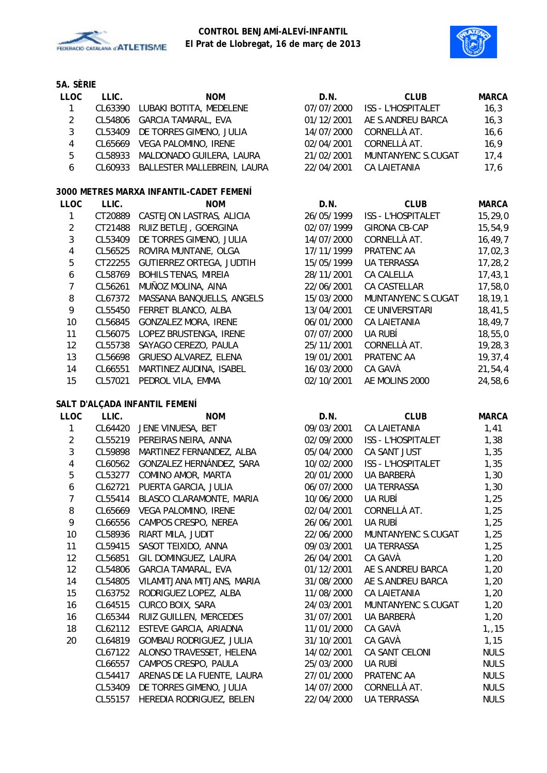



| <b>LLOC</b>             | LLIC.   | <b>NOM</b>                              | D.N.       | <b>CLUB</b>               | <b>MARCA</b> |
|-------------------------|---------|-----------------------------------------|------------|---------------------------|--------------|
| $\mathbf{1}$            |         | CL63390 LUBAKI BOTITA, MEDELENE         | 07/07/2000 | ISS - L'HOSPITALET        | 16,3         |
| $\overline{2}$          | CL54806 | <b>GARCIA TAMARAL, EVA</b>              | 01/12/2001 | AE S.ANDREU BARCA         | 16,3         |
| 3                       | CL53409 | DE TORRES GIMENO, JULIA                 | 14/07/2000 | CORNELLÀ AT.              | 16, 6        |
| $\overline{\mathbf{4}}$ | CL65669 | VEGA PALOMINO, IRENE                    | 02/04/2001 | CORNELLÀ AT.              | 16,9         |
| $\sqrt{5}$              | CL58933 | MALDONADO GUILERA, LAURA                | 21/02/2001 | MUNTANYENC S.CUGAT        | 17,4         |
| 6                       | CL60933 | BALLESTER MALLEBREIN, LAURA             | 22/04/2001 | CA LAIETANIA              | 17,6         |
|                         |         | 3000 METRES MARXA INFANTIL-CADET FEMENÍ |            |                           |              |
| <b>LLOC</b>             | LLIC.   | <b>NOM</b>                              | D.N.       | <b>CLUB</b>               | <b>MARCA</b> |
| 1                       | CT20889 | CASTEJON LASTRAS, ALICIA                | 26/05/1999 | ISS - L'HOSPITALET        | 15, 29, 0    |
| $\overline{a}$          | CT21488 | RUIZ BETLEJ, GOERGINA                   | 02/07/1999 | <b>GIRONA CB-CAP</b>      | 15,54,9      |
| $\mathfrak{Z}$          | CL53409 | DE TORRES GIMENO, JULIA                 | 14/07/2000 | CORNELLÀ AT.              | 16, 49, 7    |
| 4                       | CL56525 | ROVIRA MUNTANE, OLGA                    | 17/11/1999 | PRATENC AA                | 17,02,3      |
| 5                       | CT22255 | GUTIERREZ ORTEGA, JUDTIH                | 15/05/1999 | <b>UA TERRASSA</b>        | 17,28,2      |
| $\boldsymbol{6}$        | CL58769 | <b>BOHILS TENAS, MIREIA</b>             | 28/11/2001 | <b>CA CALELLA</b>         | 17, 43, 1    |
| $\overline{7}$          | CL56261 | MUÑOZ MOLINA, AINA                      | 22/06/2001 | CA CASTELLAR              |              |
|                         |         |                                         |            |                           | 17,58,0      |
| $\, 8$                  | CL67372 | MASSANA BANQUELLS, ANGELS               | 15/03/2000 | MUNTANYENC S.CUGAT        | 18, 19, 1    |
| 9                       | CL55450 | FERRET BLANCO, ALBA                     | 13/04/2001 | CE UNIVERSITARI           | 18,41,5      |
| 10                      | CL56845 | <b>GONZALEZ MORA, IRENE</b>             | 06/01/2000 | CA LAIETANIA              | 18,49,7      |
| 11                      | CL56075 | LOPEZ BRUSTENGA, IRENE                  | 07/07/2000 | UA RUBÍ                   | 18,55,0      |
| 12                      | CL55738 | SAYAGO CEREZO, PAULA                    | 25/11/2001 | CORNELLÀ AT.              | 19,28,3      |
| 13                      | CL56698 | GRUESO ALVAREZ, ELENA                   | 19/01/2001 | PRATENC AA                | 19, 37, 4    |
| 14                      | CL66551 | MARTINEZ AUDINA, ISABEL                 | 16/03/2000 | CA GAVÀ                   | 21,54,4      |
| 15                      | CL57021 | PEDROL VILA, EMMA                       | 02/10/2001 | AE MOLINS 2000            | 24,58,6      |
|                         |         | SALT D'ALÇADA INFANTIL FEMENÍ           |            |                           |              |
| <b>LLOC</b>             | LLIC.   | <b>NOM</b>                              | D.N.       | <b>CLUB</b>               | <b>MARCA</b> |
| 1                       |         | CL64420 JENE VINUESA, BET               | 09/03/2001 | <b>CA LAIETANIA</b>       | 1,41         |
| $\overline{a}$          |         | CL55219 PEREIRAS NEIRA, ANNA            | 02/09/2000 | ISS - L'HOSPITALET        | 1,38         |
| 3                       | CL59898 | MARTINEZ FERNANDEZ, ALBA                | 05/04/2000 | CA SANT JUST              | 1,35         |
| $\overline{\mathbf{4}}$ | CL60562 | GONZALEZ HERNÁNDEZ, SARA                | 10/02/2000 | <b>ISS - L'HOSPITALET</b> | 1,35         |
| 5                       | CL53277 | COMINO AMOR, MARTA                      | 20/01/2000 | UA BARBERÀ                | 1,30         |
| 6                       | CL62721 | PUERTA GARCIA, JULIA                    | 06/07/2000 | <b>UA TERRASSA</b>        | 1,30         |
| $\overline{7}$          | CL55414 | BLASCO CLARAMONTE, MARIA                | 10/06/2000 | <b>UA RUBÍ</b>            | 1,25         |
| 8                       | CL65669 | VEGA PALOMINO, IRENE                    | 02/04/2001 | CORNELLÀ AT.              | 1,25         |
| 9                       | CL66556 | CAMPOS CRESPO, NEREA                    | 26/06/2001 | UA RUBÍ                   | 1,25         |
| 10                      | CL58936 | RIART MILA, JUDIT                       | 22/06/2000 | MUNTANYENC S.CUGAT        | 1,25         |
| 11                      | CL59415 | SASOT TEIXIDO, ANNA                     | 09/03/2001 | UA TERRASSA               | 1,25         |
| 12                      | CL56851 | GIL DOMINGUEZ, LAURA                    | 26/04/2001 | CA GAVÀ                   | 1,20         |
| 12                      | CL54806 | <b>GARCIA TAMARAL, EVA</b>              | 01/12/2001 | AE S.ANDREU BARCA         | 1,20         |
| 14                      | CL54805 | VILAMITJANA MITJANS, MARIA              | 31/08/2000 | AE S.ANDREU BARCA         | 1,20         |
| 15                      | CL63752 | RODRIGUEZ LOPEZ, ALBA                   | 11/08/2000 | CA LAIETANIA              | 1,20         |
| 16                      | CL64515 | <b>CURCO BOIX, SARA</b>                 | 24/03/2001 | MUNTANYENC S.CUGAT        | 1,20         |
| 16                      | CL65344 | RUIZ GUILLEN, MERCEDES                  | 31/07/2001 | UA BARBERÀ                | 1,20         |
| 18                      | CL62112 | ESTEVE GARCIA, ARIADNA                  | 11/01/2000 | CA GAVÀ                   | 1, 15        |
| 20                      | CL64819 | GOMBAU RODRIGUEZ, JULIA                 | 31/10/2001 | CA GAVÀ                   | 1,15         |
|                         | CL67122 | ALONSO TRAVESSET, HELENA                | 14/02/2001 | CA SANT CELONI            | <b>NULS</b>  |
|                         | CL66557 | CAMPOS CRESPO, PAULA                    | 25/03/2000 | UA RUBÍ                   | <b>NULS</b>  |
|                         | CL54417 | ARENAS DE LA FUENTE, LAURA              | 27/01/2000 | PRATENC AA                | <b>NULS</b>  |
|                         | CL53409 | DE TORRES GIMENO, JULIA                 | 14/07/2000 | CORNELLÀ AT.              | <b>NULS</b>  |
|                         |         | CL55157 HEREDIA RODRIGUEZ, BELEN        | 22/04/2000 | UA TERRASSA               | <b>NULS</b>  |
|                         |         |                                         |            |                           |              |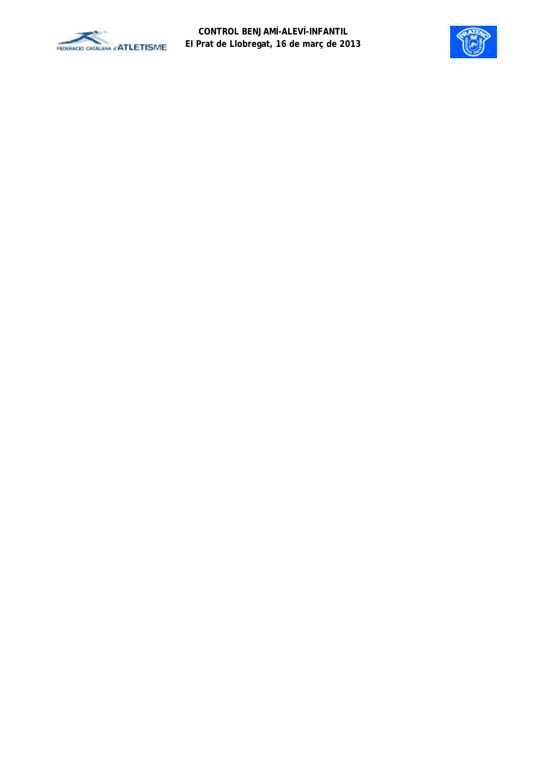

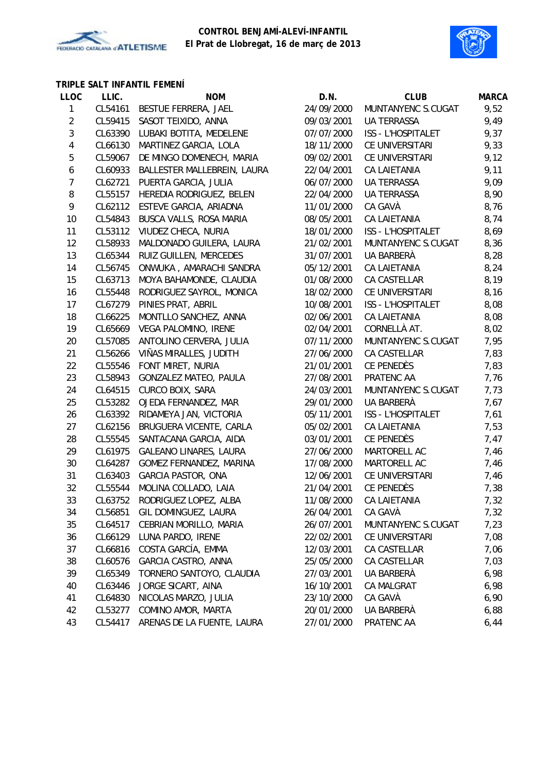



# **TRIPLE SALT INFANTIL FEMENÍ**

| <b>LLOC</b>             | LLIC.   | <b>NOM</b>                     | D.N.       | <b>CLUB</b>               | <b>MARCA</b> |
|-------------------------|---------|--------------------------------|------------|---------------------------|--------------|
| 1                       | CL54161 | BESTUE FERRERA, JAEL           | 24/09/2000 | MUNTANYENC S.CUGAT        | 9,52         |
| $\overline{2}$          | CL59415 | SASOT TEIXIDO, ANNA            | 09/03/2001 | <b>UA TERRASSA</b>        | 9,49         |
| $\sqrt{3}$              | CL63390 | LUBAKI BOTITA, MEDELENE        | 07/07/2000 | ISS - L'HOSPITALET        | 9,37         |
| $\overline{\mathbf{4}}$ | CL66130 | MARTINEZ GARCIA, LOLA          | 18/11/2000 | CE UNIVERSITARI           | 9,33         |
| 5                       | CL59067 | DE MINGO DOMENECH, MARIA       | 09/02/2001 | CE UNIVERSITARI           | 9,12         |
| 6                       | CL60933 | BALLESTER MALLEBREIN, LAURA    | 22/04/2001 | CA LAIETANIA              | 9,11         |
| 7                       | CL62721 | PUERTA GARCIA, JULIA           | 06/07/2000 | <b>UA TERRASSA</b>        | 9,09         |
| $\, 8$                  | CL55157 | HEREDIA RODRIGUEZ, BELEN       | 22/04/2000 | <b>UA TERRASSA</b>        | 8,90         |
| 9                       | CL62112 | ESTEVE GARCIA, ARIADNA         | 11/01/2000 | CA GAVÀ                   | 8,76         |
| 10                      | CL54843 | BUSCA VALLS, ROSA MARIA        | 08/05/2001 | CA LAIETANIA              | 8,74         |
| 11                      | CL53112 | VIUDEZ CHECA, NURIA            | 18/01/2000 | ISS - L'HOSPITALET        | 8,69         |
| 12                      | CL58933 | MALDONADO GUILERA, LAURA       | 21/02/2001 | MUNTANYENC S.CUGAT        | 8,36         |
| 13                      | CL65344 | RUIZ GUILLEN, MERCEDES         | 31/07/2001 | UA BARBERÀ                | 8,28         |
| 14                      | CL56745 | ONWUKA, AMARACHI SANDRA        | 05/12/2001 | CA LAIETANIA              | 8,24         |
| 15                      | CL63713 | MOYA BAHAMONDE, CLAUDIA        | 01/08/2000 | CA CASTELLAR              | 8,19         |
| 16                      | CL55448 | RODRIGUEZ SAYROL, MONICA       | 18/02/2000 | CE UNIVERSITARI           | 8,16         |
| 17                      | CL67279 | PINIES PRAT, ABRIL             | 10/08/2001 | ISS - L'HOSPITALET        | 8,08         |
| 18                      | CL66225 | MONTLLO SANCHEZ, ANNA          | 02/06/2001 | CA LAIETANIA              | 8,08         |
| 19                      | CL65669 | VEGA PALOMINO, IRENE           | 02/04/2001 | CORNELLÀ AT.              | 8,02         |
| 20                      | CL57085 | ANTOLINO CERVERA, JULIA        | 07/11/2000 | MUNTANYENC S.CUGAT        | 7,95         |
| 21                      | CL56266 | VIÑAS MIRALLES, JUDITH         | 27/06/2000 | CA CASTELLAR              | 7,83         |
| 22                      | CL55546 | FONT MIRET, NURIA              | 21/01/2001 | CE PENEDÈS                | 7,83         |
| 23                      | CL58943 | <b>GONZALEZ MATEO, PAULA</b>   | 27/08/2001 | PRATENC AA                | 7,76         |
| 24                      | CL64515 | <b>CURCO BOIX, SARA</b>        | 24/03/2001 | MUNTANYENC S.CUGAT        | 7,73         |
| 25                      | CL53282 | OJEDA FERNANDEZ, MAR           | 29/01/2000 | UA BARBERÀ                | 7,67         |
| 26                      | CL63392 | RIDAMEYA JAN, VICTORIA         | 05/11/2001 | <b>ISS - L'HOSPITALET</b> | 7,61         |
| 27                      | CL62156 | BRUGUERA VICENTE, CARLA        | 05/02/2001 | CA LAIETANIA              | 7,53         |
| 28                      | CL55545 | SANTACANA GARCIA, AIDA         | 03/01/2001 | CE PENEDÈS                | 7,47         |
| 29                      | CL61975 | <b>GALEANO LINARES, LAURA</b>  | 27/06/2000 | MARTORELL AC              | 7,46         |
| 30                      | CL64287 | GOMEZ FERNANDEZ, MARINA        | 17/08/2000 | MARTORELL AC              | 7,46         |
| 31                      | CL63403 | <b>GARCIA PASTOR, ONA</b>      | 12/06/2001 | CE UNIVERSITARI           | 7,46         |
| 32                      | CL55544 | MOLINA COLLADO, LAIA           | 21/04/2001 | <b>CE PENEDÈS</b>         | 7,38         |
| 33                      | CL63752 | RODRIGUEZ LOPEZ, ALBA          | 11/08/2000 | CA LAIETANIA              | 7,32         |
| 34                      |         | CL56851 GIL DOMINGUEZ, LAURA   | 26/04/2001 | CA GAVÀ                   | 7,32         |
| 35                      |         | CL64517 CEBRIAN MORILLO, MARIA | 26/07/2001 | MUNTANYENC S.CUGAT        | 7,23         |
| 36                      | CL66129 | LUNA PARDO, IRENE              | 22/02/2001 | CE UNIVERSITARI           | 7,08         |
| 37                      | CL66816 | COSTA GARCÍA, EMMA             | 12/03/2001 | CA CASTELLAR              | 7,06         |
| 38                      | CL60576 | GARCIA CASTRO, ANNA            | 25/05/2000 | CA CASTELLAR              | 7,03         |
| 39                      | CL65349 | TORNERO SANTOYO, CLAUDIA       | 27/03/2001 | UA BARBERÀ                | 6,98         |
| 40                      | CL63446 | JORGE SICART, AINA             | 16/10/2001 | CA MALGRAT                | 6,98         |
| 41                      | CL64830 | NICOLAS MARZO, JULIA           | 23/10/2000 | CA GAVÀ                   | 6,90         |
| 42                      | CL53277 | COMINO AMOR, MARTA             | 20/01/2000 | UA BARBERÀ                | 6,88         |
| 43                      | CL54417 | ARENAS DE LA FUENTE, LAURA     | 27/01/2000 | PRATENC AA                | 6,44         |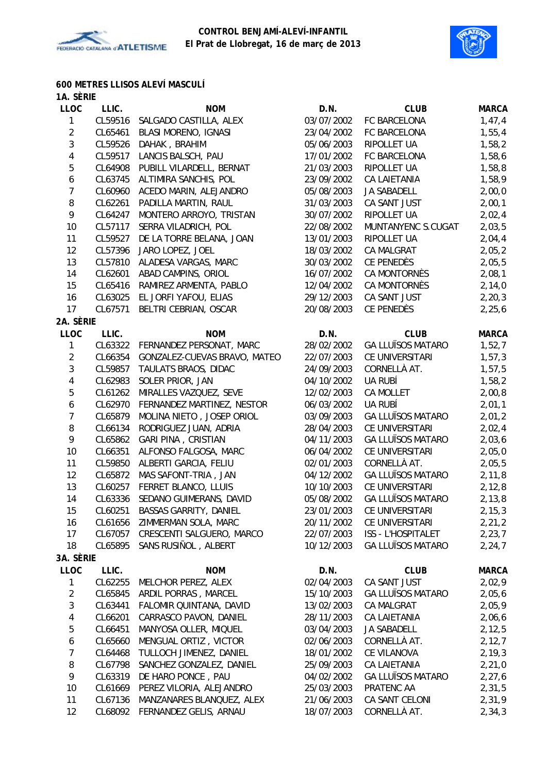



#### **600 METRES LLISOS ALEVÍ MASCULÍ 1A. SÈRIE**

| <b>LLOC</b>      | LLIC.   | <b>NOM</b>                   | D.N.       | <b>CLUB</b>               | <b>MARCA</b> |
|------------------|---------|------------------------------|------------|---------------------------|--------------|
| $\mathbf{1}$     | CL59516 | SALGADO CASTILLA, ALEX       | 03/07/2002 | FC BARCELONA              | 1,47,4       |
| $\overline{2}$   | CL65461 | <b>BLASI MORENO, IGNASI</b>  | 23/04/2002 | FC BARCELONA              | 1,55,4       |
| 3                | CL59526 | DAHAK, BRAHIM                | 05/06/2003 | RIPOLLET UA               | 1,58,2       |
| 4                | CL59517 | LANCIS BALSCH, PAU           | 17/01/2002 | FC BARCELONA              | 1,58,6       |
| 5                | CL64908 | PUBILL VILARDELL, BERNAT     | 21/03/2003 | RIPOLLET UA               | 1,58,8       |
| $\boldsymbol{6}$ | CL63745 | ALTIMIRA SANCHIS, POL        | 23/09/2002 | CA LAIETANIA              | 1,58,9       |
| $\overline{7}$   | CL60960 | ACEDO MARIN, ALEJANDRO       | 05/08/2003 | <b>JA SABADELL</b>        | 2,00,0       |
| 8                | CL62261 | PADILLA MARTIN, RAUL         | 31/03/2003 | CA SANT JUST              | 2,00,1       |
| 9                | CL64247 | MONTERO ARROYO, TRISTAN      | 30/07/2002 | RIPOLLET UA               | 2,02,4       |
| 10               | CL57117 | SERRA VILADRICH, POL         | 22/08/2002 | MUNTANYENC S.CUGAT        | 2,03,5       |
| 11               | CL59527 | DE LA TORRE BELANA, JOAN     | 13/01/2003 | RIPOLLET UA               | 2,04,4       |
| 12               | CL57396 | JARO LOPEZ, JOEL             | 18/03/2002 | CA MALGRAT                | 2,05,2       |
| 13               | CL57810 | ALADESA VARGAS, MARC         | 30/03/2002 | CE PENEDÈS                | 2,05,5       |
| 14               | CL62601 | ABAD CAMPINS, ORIOL          | 16/07/2002 | CA MONTORNÈS              | 2,08,1       |
| 15               | CL65416 | RAMIREZ ARMENTA, PABLO       | 12/04/2002 | CA MONTORNÈS              | 2,14,0       |
| 16               | CL63025 | EL JORFI YAFOU, ELIAS        | 29/12/2003 | CA SANT JUST              | 2, 20, 3     |
| 17               | CL67571 | BELTRI CEBRIAN, OSCAR        | 20/08/2003 | CE PENEDÈS                | 2, 25, 6     |
| 2A. SÈRIE        |         |                              |            |                           |              |
| <b>LLOC</b>      | LLIC.   | <b>NOM</b>                   | D.N.       | <b>CLUB</b>               | <b>MARCA</b> |
| 1                | CL63322 | FERNANDEZ PERSONAT, MARC     | 28/02/2002 | <b>GA LLUÏSOS MATARO</b>  | 1,52,7       |
| $\overline{2}$   | CL66354 | GONZALEZ-CUEVAS BRAVO, MATEO | 22/07/2003 | CE UNIVERSITARI           | 1, 57, 3     |
| 3                | CL59857 | TAULATS BRAOS, DIDAC         | 24/09/2003 | CORNELLÀ AT.              | 1,57,5       |
| 4                | CL62983 | SOLER PRIOR, JAN             | 04/10/2002 | UA RUBÍ                   | 1,58,2       |
| 5                | CL61262 | MIRALLES VAZQUEZ, SEVE       | 12/02/2003 | <b>CA MOLLET</b>          | 2,00,8       |
| $\boldsymbol{6}$ | CL62970 | FERNANDEZ MARTINEZ, NESTOR   | 06/03/2002 | UA RUBÍ                   | 2,01,1       |
| $\overline{7}$   | CL65879 | MOLINA NIETO, JOSEP ORIOL    | 03/09/2003 | <b>GA LLUÏSOS MATARO</b>  | 2,01,2       |
| 8                | CL66134 | RODRIGUEZ JUAN, ADRIA        | 28/04/2003 | CE UNIVERSITARI           | 2,02,4       |
| 9                | CL65862 | <b>GARI PINA, CRISTIAN</b>   | 04/11/2003 | <b>GA LLUÏSOS MATARO</b>  | 2,03,6       |
| 10               | CL66351 | ALFONSO FALGOSA, MARC        | 06/04/2002 | CE UNIVERSITARI           | 2,05,0       |
| 11               | CL59850 | ALBERTI GARCIA, FELIU        | 02/01/2003 | CORNELLÀ AT.              | 2,05,5       |
| 12               | CL65872 | MAS SAFONT-TRIA, JAN         | 04/12/2002 | <b>GA LLUÏSOS MATARO</b>  | 2,11,8       |
| 13               | CL60257 | FERRET BLANCO, LLUIS         | 10/10/2003 | CE UNIVERSITARI           | 2, 12, 8     |
| 14               | CL63336 | SEDANO GUIMERANS, DAVID      | 05/08/2002 | <b>GA LLUÏSOS MATARO</b>  | 2, 13, 8     |
| 15               | CL60251 | BASSAS GARRITY, DANIEL       | 23/01/2003 | CE UNIVERSITARI           | 2, 15, 3     |
| 16               | CL61656 | ZIMMERMAN SOLA, MARC         | 20/11/2002 | CE UNIVERSITARI           | 2, 21, 2     |
| 17               | CL67057 | CRESCENTI SALGUERO, MARCO    | 22/07/2003 | <b>ISS - L'HOSPITALET</b> | 2,23,7       |
| 18               | CL65895 | SANS RUSIÑOL, ALBERT         | 10/12/2003 | <b>GA LLUÏSOS MATARO</b>  | 2,24,7       |
| 3A. SÈRIE        |         |                              |            |                           |              |
| <b>LLOC</b>      | LLIC.   | <b>NOM</b>                   | D.N.       | <b>CLUB</b>               | <b>MARCA</b> |
| 1                | CL62255 | MELCHOR PEREZ, ALEX          | 02/04/2003 | CA SANT JUST              | 2,02,9       |
| $\overline{2}$   | CL65845 | ARDIL PORRAS, MARCEL         | 15/10/2003 | <b>GA LLUÏSOS MATARO</b>  | 2,05,6       |
| 3                | CL63441 | FALOMIR QUINTANA, DAVID      | 13/02/2003 | CA MALGRAT                | 2,05,9       |
| 4                | CL66201 | CARRASCO PAVON, DANIEL       | 28/11/2003 | CA LAIETANIA              | 2,06,6       |
| 5                | CL66451 | MANYOSA OLLER, MIQUEL        | 03/04/2003 | JA SABADELL               | 2,12,5       |
| 6                | CL65660 | MENGUAL ORTIZ, VICTOR        | 02/06/2003 | CORNELLÀ AT.              | 2, 12, 7     |
| $\overline{7}$   | CL64468 | TULLOCH JIMENEZ, DANIEL      | 18/01/2002 | CE VILANOVA               | 2, 19, 3     |
| 8                | CL67798 | SANCHEZ GONZALEZ, DANIEL     | 25/09/2003 | CA LAIETANIA              | 2,21,0       |
| 9                | CL63319 | DE HARO PONCE, PAU           | 04/02/2002 | <b>GA LLUÏSOS MATARO</b>  | 2, 27, 6     |
| 10               | CL61669 | PEREZ VILORIA, ALEJANDRO     | 25/03/2003 | PRATENC AA                | 2,31,5       |
| 11               | CL67136 | MANZANARES BLANQUEZ, ALEX    | 21/06/2003 | CA SANT CELONI            | 2,31,9       |
| 12               | CL68092 | FERNANDEZ GELIS, ARNAU       | 18/07/2003 | CORNELLÀ AT.              | 2, 34, 3     |
|                  |         |                              |            |                           |              |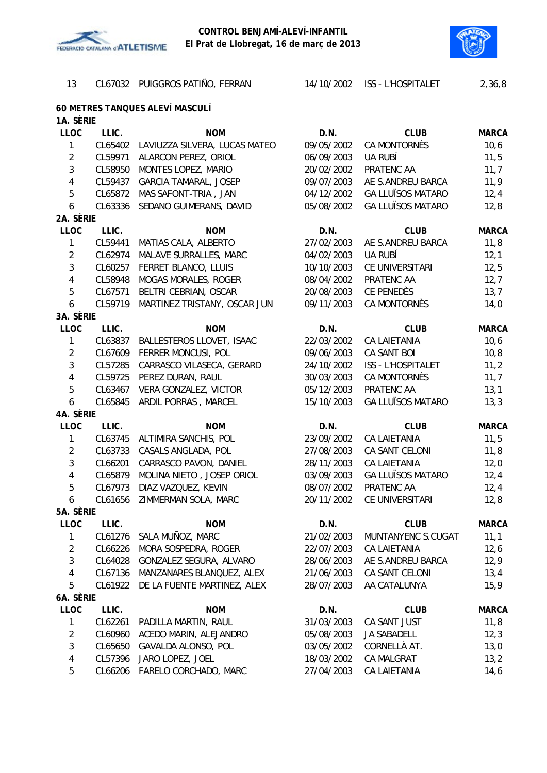



| 13                      |         | CL67032 PUIGGROS PATIÑO, FERRAN | 14/10/2002 | ISS - L'HOSPITALET        | 2,36,8       |
|-------------------------|---------|---------------------------------|------------|---------------------------|--------------|
|                         |         | 60 METRES TANQUES ALEVÍ MASCULÍ |            |                           |              |
| 1A. SÈRIE               |         |                                 |            |                           |              |
| <b>LLOC</b>             | LLIC.   | <b>NOM</b>                      | D.N.       | <b>CLUB</b>               | <b>MARCA</b> |
| $\mathbf{1}$            | CL65402 | LAVIUZZA SILVERA, LUCAS MATEO   | 09/05/2002 | CA MONTORNÈS              | 10, 6        |
| $\overline{2}$          | CL59971 | ALARCON PEREZ, ORIOL            | 06/09/2003 | <b>UA RUBÍ</b>            | 11,5         |
| 3                       | CL58950 | MONTES LOPEZ, MARIO             | 20/02/2002 | PRATENC AA                | 11,7         |
| $\overline{4}$          | CL59437 | <b>GARCIA TAMARAL, JOSEP</b>    | 09/07/2003 | AE S.ANDREU BARCA         | 11,9         |
| 5                       | CL65872 | MAS SAFONT-TRIA, JAN            | 04/12/2002 | <b>GA LLUÏSOS MATARO</b>  | 12,4         |
| 6                       | CL63336 | SEDANO GUIMERANS, DAVID         | 05/08/2002 | <b>GA LLUÏSOS MATARO</b>  | 12,8         |
| 2A. SÈRIE               |         |                                 |            |                           |              |
| <b>LLOC</b>             | LLIC.   | <b>NOM</b>                      | D.N.       | <b>CLUB</b>               | <b>MARCA</b> |
| $\mathbf{1}$            | CL59441 | MATIAS CALA, ALBERTO            | 27/02/2003 | AE S.ANDREU BARCA         | 11,8         |
| $\overline{2}$          | CL62974 | MALAVE SURRALLES, MARC          | 04/02/2003 | UA RUBÍ                   | 12,1         |
| 3                       | CL60257 | FERRET BLANCO, LLUIS            | 10/10/2003 | CE UNIVERSITARI           | 12,5         |
| $\overline{4}$          | CL58948 | MOGAS MORALES, ROGER            | 08/04/2002 | PRATENC AA                | 12,7         |
| 5                       | CL67571 | BELTRI CEBRIAN, OSCAR           | 20/08/2003 | CE PENEDÈS                | 13,7         |
| 6                       | CL59719 | MARTINEZ TRISTANY, OSCAR JUN    | 09/11/2003 | <b>CA MONTORNÈS</b>       | 14,0         |
| 3A. SÈRIE               |         |                                 |            |                           |              |
| <b>LLOC</b>             | LLIC.   | <b>NOM</b>                      | D.N.       | <b>CLUB</b>               | <b>MARCA</b> |
| $\mathbf{1}$            | CL63837 | BALLESTEROS LLOVET, ISAAC       | 22/03/2002 | <b>CA LAIETANIA</b>       | 10,6         |
| $\overline{2}$          | CL67609 | FERRER MONCUSI, POL             | 09/06/2003 | CA SANT BOI               | 10, 8        |
| 3                       | CL57285 | CARRASCO VILASECA, GERARD       | 24/10/2002 | <b>ISS - L'HOSPITALET</b> | 11,2         |
| $\overline{4}$          | CL59725 | PEREZ DURAN, RAUL               | 30/03/2003 | CA MONTORNÈS              | 11,7         |
| 5                       | CL63467 | VERA GONZALEZ, VICTOR           | 05/12/2003 | PRATENC AA                | 13,1         |
| 6                       | CL65845 | ARDIL PORRAS, MARCEL            | 15/10/2003 | <b>GA LLUÏSOS MATARO</b>  | 13,3         |
| 4A. SÈRIE               |         |                                 |            |                           |              |
| <b>LLOC</b>             | LLIC.   | <b>NOM</b>                      | D.N.       | <b>CLUB</b>               | <b>MARCA</b> |
| $\mathbf{1}$            | CL63745 | ALTIMIRA SANCHIS, POL           | 23/09/2002 | CA LAIETANIA              | 11,5         |
| $\overline{2}$          | CL63733 | CASALS ANGLADA, POL             | 27/08/2003 | CA SANT CELONI            | 11,8         |
| 3                       | CL66201 | CARRASCO PAVON, DANIEL          | 28/11/2003 | <b>CA LAIETANIA</b>       | 12,0         |
| $\overline{\mathbf{4}}$ | CL65879 | MOLINA NIETO, JOSEP ORIOL       | 03/09/2003 | <b>GA LLUÏSOS MATARO</b>  | 12,4         |
| 5                       |         | CL67973 DIAZ VAZQUEZ, KEVIN     | 08/07/2002 | PRATENC AA                | 12,4         |
| 6                       | CL61656 | ZIMMERMAN SOLA, MARC            | 20/11/2002 | CE UNIVERSITARI           | 12,8         |
| 5A. SÈRIE               |         |                                 |            |                           |              |
| <b>LLOC</b>             | LLIC.   | <b>NOM</b>                      | D.N.       | <b>CLUB</b>               | <b>MARCA</b> |
| $\mathbf{1}$            | CL61276 | SALA MUÑOZ, MARC                | 21/02/2003 | MUNTANYENC S.CUGAT        | 11,1         |
| $\overline{2}$          | CL66226 | MORA SOSPEDRA, ROGER            | 22/07/2003 | <b>CA LAIETANIA</b>       | 12,6         |
| 3                       | CL64028 | GONZALEZ SEGURA, ALVARO         | 28/06/2003 | AE S.ANDREU BARCA         | 12,9         |
| $\overline{\mathbf{4}}$ | CL67136 | MANZANARES BLANQUEZ, ALEX       | 21/06/2003 | CA SANT CELONI            | 13,4         |
| 5                       | CL61922 | DE LA FUENTE MARTINEZ, ALEX     | 28/07/2003 | AA CATALUNYA              | 15,9         |
| 6A. SÈRIE               |         |                                 |            |                           |              |
| <b>LLOC</b>             | LLIC.   | <b>NOM</b>                      | D.N.       | <b>CLUB</b>               | <b>MARCA</b> |
|                         |         |                                 |            |                           |              |
| 1                       | CL62261 | PADILLA MARTIN, RAUL            | 31/03/2003 | CA SANT JUST              | 11,8         |
| $\overline{2}$<br>3     | CL60960 | ACEDO MARIN, ALEJANDRO          | 05/08/2003 | JA SABADELL               | 12,3         |
|                         | CL65650 | GAVALDA ALONSO, POL             | 03/05/2002 | CORNELLÀ AT.              | 13,0         |
| $\overline{\mathbf{4}}$ | CL57396 | JARO LOPEZ, JOEL                | 18/03/2002 | CA MALGRAT                | 13,2         |
| 5                       | CL66206 | FARELO CORCHADO, MARC           | 27/04/2003 | CA LAIETANIA              | 14,6         |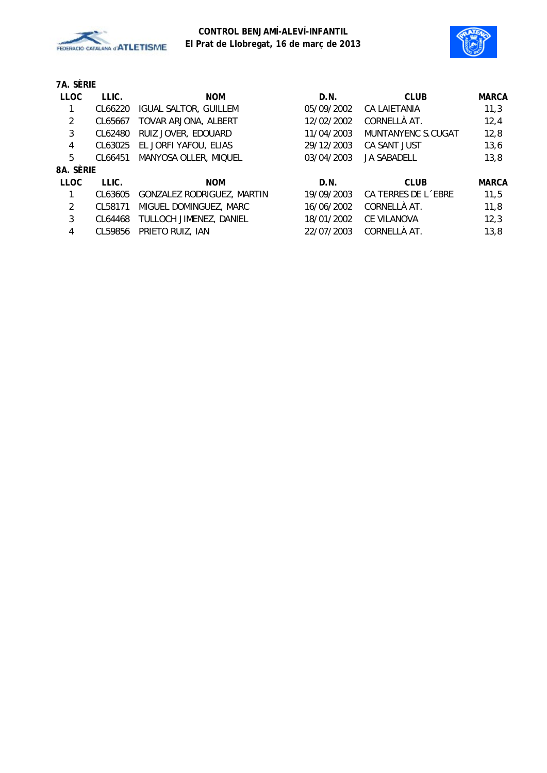



| <b>LLOC</b> | LLIC.   | <b>NOM</b>                 | D.N.       | <b>CLUB</b>         | <b>MARCA</b> |
|-------------|---------|----------------------------|------------|---------------------|--------------|
| 1           | CL66220 | IGUAL SALTOR, GUILLEM      | 05/09/2002 | CA LAIETANIA        | 11,3         |
| 2           | CL65667 | TOVAR ARJONA, ALBERT       | 12/02/2002 | CORNELLÀ AT.        | 12,4         |
| 3           | CL62480 | RUIZ JOVER, EDOUARD        | 11/04/2003 | MUNTANYENC S.CUGAT  | 12,8         |
| 4           | CL63025 | EL JORFI YAFOU, ELIAS      | 29/12/2003 | CA SANT JUST        | 13,6         |
| 5           | CL66451 | MANYOSA OLLER, MIQUEL      | 03/04/2003 | <b>JA SABADELL</b>  | 13,8         |
| 8A. SÈRIE   |         |                            |            |                     |              |
| <b>LLOC</b> | LLIC.   | <b>NOM</b>                 | D.N.       | <b>CLUB</b>         | <b>MARCA</b> |
| 1           | CL63605 | GONZALEZ RODRIGUEZ, MARTIN | 19/09/2003 | CA TERRES DE L'EBRE | 11,5         |
| 2           | CL58171 | MIGUEL DOMINGUEZ, MARC     | 16/06/2002 | CORNELLÀ AT.        | 11,8         |
| 3           | CL64468 | TULLOCH JIMENEZ, DANIEL    | 18/01/2002 | <b>CE VILANOVA</b>  | 12,3         |
| 4           | CL59856 | PRIETO RUIZ, IAN           | 22/07/2003 | CORNELLÀ AT.        | 13,8         |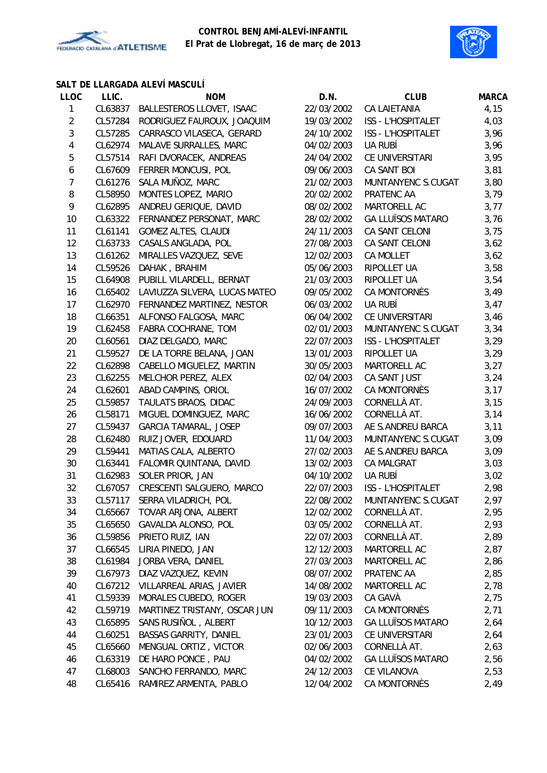



#### **SALT DE LLARGADA ALEVÍ MASCULÍ**

| <b>LLOC</b>      | LLIC.   | <b>NOM</b>                        | D.N.       | <b>CLUB</b>              | <b>MARCA</b> |
|------------------|---------|-----------------------------------|------------|--------------------------|--------------|
| $\mathbf{1}$     |         | CL63837 BALLESTEROS LLOVET, ISAAC | 22/03/2002 | <b>CA LAIETANIA</b>      | 4,15         |
| $\overline{2}$   | CL57284 | RODRIGUEZ FAUROUX, JOAQUIM        | 19/03/2002 | ISS - L'HOSPITALET       | 4,03         |
| 3                | CL57285 | CARRASCO VILASECA, GERARD         | 24/10/2002 | ISS - L'HOSPITALET       | 3,96         |
| 4                | CL62974 | MALAVE SURRALLES, MARC            | 04/02/2003 | UA RUBÍ                  | 3,96         |
| 5                | CL57514 | RAFI DVORACEK, ANDREAS            | 24/04/2002 | CE UNIVERSITARI          | 3,95         |
| $\boldsymbol{6}$ | CL67609 | FERRER MONCUSI, POL               | 09/06/2003 | CA SANT BOI              | 3,81         |
| $\overline{7}$   | CL61276 | SALA MUÑOZ, MARC                  | 21/02/2003 | MUNTANYENC S.CUGAT       | 3,80         |
| $\, 8$           | CL58950 | MONTES LOPEZ, MARIO               | 20/02/2002 | PRATENC AA               | 3,79         |
| 9                | CL62895 | ANDREU GERIQUE, DAVID             | 08/02/2002 | MARTORELL AC             | 3,77         |
| 10               |         | CL63322 FERNANDEZ PERSONAT, MARC  | 28/02/2002 | <b>GA LLUÏSOS MATARO</b> | 3,76         |
| 11               | CL61141 | <b>GOMEZ ALTES, CLAUDI</b>        | 24/11/2003 | CA SANT CELONI           | 3,75         |
| 12               | CL63733 | CASALS ANGLADA, POL               | 27/08/2003 | CA SANT CELONI           | 3,62         |
| 13               | CL61262 | MIRALLES VAZQUEZ, SEVE            | 12/02/2003 | CA MOLLET                | 3,62         |
| 14               | CL59526 | DAHAK, BRAHIM                     | 05/06/2003 | RIPOLLET UA              | 3,58         |
| 15               | CL64908 | PUBILL VILARDELL, BERNAT          | 21/03/2003 | RIPOLLET UA              | 3,54         |
| 16               | CL65402 | LAVIUZZA SILVERA, LUCAS MATEO     | 09/05/2002 | CA MONTORNÈS             | 3,49         |
| 17               | CL62970 | FERNANDEZ MARTINEZ, NESTOR        | 06/03/2002 | <b>UA RUBÍ</b>           | 3,47         |
| 18               | CL66351 | ALFONSO FALGOSA, MARC             | 06/04/2002 | CE UNIVERSITARI          | 3,46         |
| 19               | CL62458 | FABRA COCHRANE, TOM               | 02/01/2003 | MUNTANYENC S.CUGAT       | 3,34         |
| 20               | CL60561 | DIAZ DELGADO, MARC                | 22/07/2003 | ISS - L'HOSPITALET       | 3,29         |
| 21               | CL59527 | DE LA TORRE BELANA, JOAN          | 13/01/2003 | RIPOLLET UA              | 3,29         |
| 22               | CL62898 | CABELLO MIGUELEZ, MARTIN          | 30/05/2003 | MARTORELL AC             | 3,27         |
| 23               | CL62255 | MELCHOR PEREZ, ALEX               | 02/04/2003 | CA SANT JUST             | 3,24         |
| 24               | CL62601 | ABAD CAMPINS, ORIOL               | 16/07/2002 | CA MONTORNÈS             | 3,17         |
| 25               | CL59857 | TAULATS BRAOS, DIDAC              | 24/09/2003 | CORNELLÀ AT.             | 3,15         |
| 26               | CL58171 | MIGUEL DOMINGUEZ, MARC            | 16/06/2002 | CORNELLÀ AT.             | 3,14         |
| 27               | CL59437 | <b>GARCIA TAMARAL, JOSEP</b>      | 09/07/2003 | AE S.ANDREU BARCA        | 3,11         |
| 28               | CL62480 | RUIZ JOVER, EDOUARD               | 11/04/2003 | MUNTANYENC S.CUGAT       | 3,09         |
| 29               | CL59441 | MATIAS CALA, ALBERTO              | 27/02/2003 | AE S.ANDREU BARCA        | 3,09         |
| 30               | CL63441 | FALOMIR QUINTANA, DAVID           | 13/02/2003 | CA MALGRAT               | 3,03         |
| 31               | CL62983 | SOLER PRIOR, JAN                  | 04/10/2002 | UA RUBÍ                  | 3,02         |
| 32               | CL67057 | CRESCENTI SALGUERO, MARCO         | 22/07/2003 | ISS - L'HOSPITALET       | 2,98         |
| 33               | CL57117 | SERRA VILADRICH, POL              | 22/08/2002 | MUNTANYENC S.CUGAT       | 2,97         |
| 34               | CL65667 | TOVAR ARJONA, ALBERT              | 12/02/2002 | CORNELLÀ AT.             | 2,95         |
| 35               | CL65650 | GAVALDA ALONSO, POL               | 03/05/2002 | CORNELLÀ AT.             | 2,93         |
| 36               | CL59856 | PRIETO RUIZ, IAN                  | 22/07/2003 | CORNELLÀ AT.             | 2,89         |
| 37               | CL66545 | LIRIA PINEDO, JAN                 | 12/12/2003 | MARTORELL AC             | 2,87         |
| 38               | CL61984 | JORBA VERA, DANIEL                | 27/03/2003 | MARTORELL AC             | 2,86         |
| 39               | CL67973 | DIAZ VAZQUEZ, KEVIN               | 08/07/2002 | PRATENC AA               | 2,85         |
| 40               | CL67212 | VILLARREAL ARIAS, JAVIER          | 14/08/2002 | MARTORELL AC             | 2,78         |
| 41               | CL59339 | MORALES CUBEDO, ROGER             | 19/03/2003 | CA GAVÀ                  | 2,75         |
| 42               | CL59719 | MARTINEZ TRISTANY, OSCAR JUN      | 09/11/2003 | CA MONTORNÈS             | 2,71         |
| 43               | CL65895 | SANS RUSIÑOL, ALBERT              | 10/12/2003 | <b>GA LLUÏSOS MATARO</b> | 2,64         |
| 44               | CL60251 | <b>BASSAS GARRITY, DANIEL</b>     | 23/01/2003 | CE UNIVERSITARI          | 2,64         |
| 45               | CL65660 | MENGUAL ORTIZ, VICTOR             | 02/06/2003 | CORNELLÀ AT.             | 2,63         |
| 46               | CL63319 | DE HARO PONCE, PAU                | 04/02/2002 | <b>GA LLUÏSOS MATARO</b> | 2,56         |
| 47               | CL68003 | SANCHO FERRANDO, MARC             | 24/12/2003 | CE VILANOVA              | 2,53         |
| 48               | CL65416 | RAMIREZ ARMENTA, PABLO            | 12/04/2002 | CA MONTORNÈS             | 2,49         |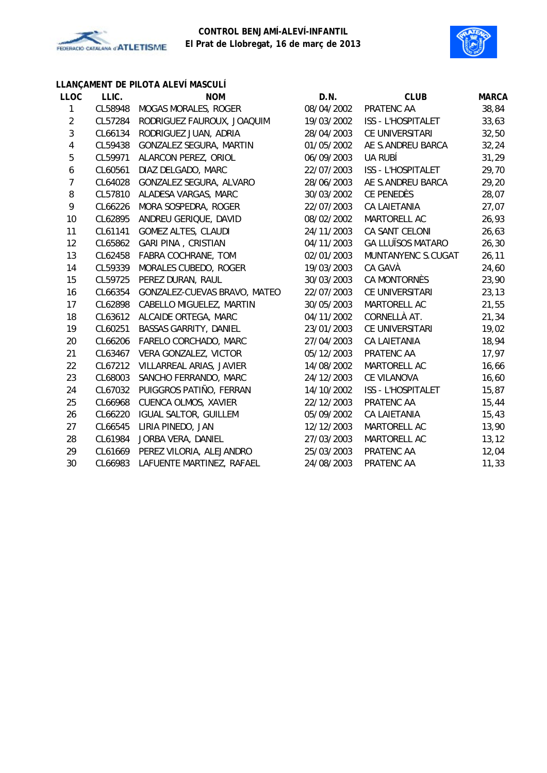



# **LLANÇAMENT DE PILOTA ALEVÍ MASCULÍ**

| <b>LLOC</b>             | LLIC.   | <b>NOM</b>                     | D.N.       | <b>CLUB</b>               | <b>MARCA</b> |
|-------------------------|---------|--------------------------------|------------|---------------------------|--------------|
| 1                       | CL58948 | <b>MOGAS MORALES, ROGER</b>    | 08/04/2002 | PRATENC AA                | 38,84        |
| $\overline{c}$          | CL57284 | RODRIGUEZ FAUROUX, JOAQUIM     | 19/03/2002 | ISS - L'HOSPITALET        | 33,63        |
| $\mathfrak{Z}$          | CL66134 | RODRIGUEZ JUAN, ADRIA          | 28/04/2003 | CE UNIVERSITARI           | 32,50        |
| $\overline{\mathbf{4}}$ | CL59438 | <b>GONZALEZ SEGURA, MARTIN</b> | 01/05/2002 | AE S.ANDREU BARCA         | 32,24        |
| 5                       | CL59971 | ALARCON PEREZ, ORIOL           | 06/09/2003 | UA RUBÍ                   | 31,29        |
| 6                       | CL60561 | DIAZ DELGADO, MARC             | 22/07/2003 | ISS - L'HOSPITALET        | 29,70        |
| $\overline{7}$          | CL64028 | GONZALEZ SEGURA, ALVARO        | 28/06/2003 | AE S.ANDREU BARCA         | 29,20        |
| 8                       | CL57810 | ALADESA VARGAS, MARC           | 30/03/2002 | CE PENEDÈS                | 28,07        |
| 9                       | CL66226 | MORA SOSPEDRA, ROGER           | 22/07/2003 | <b>CA LAIETANIA</b>       | 27,07        |
| 10                      | CL62895 | ANDREU GERIQUE, DAVID          | 08/02/2002 | MARTORELL AC              | 26,93        |
| 11                      | CL61141 | <b>GOMEZ ALTES, CLAUDI</b>     | 24/11/2003 | CA SANT CELONI            | 26,63        |
| 12                      | CL65862 | <b>GARI PINA, CRISTIAN</b>     | 04/11/2003 | <b>GA LLUÏSOS MATARO</b>  | 26, 30       |
| 13                      | CL62458 | FABRA COCHRANE, TOM            | 02/01/2003 | MUNTANYENC S.CUGAT        | 26, 11       |
| 14                      | CL59339 | MORALES CUBEDO, ROGER          | 19/03/2003 | CA GAVÀ                   | 24,60        |
| 15                      | CL59725 | PEREZ DURAN, RAUL              | 30/03/2003 | CA MONTORNÈS              | 23,90        |
| 16                      | CL66354 | GONZALEZ-CUEVAS BRAVO, MATEO   | 22/07/2003 | CE UNIVERSITARI           | 23, 13       |
| 17                      | CL62898 | CABELLO MIGUELEZ, MARTIN       | 30/05/2003 | MARTORELL AC              | 21,55        |
| 18                      | CL63612 | ALCAIDE ORTEGA, MARC           | 04/11/2002 | CORNELLÀ AT.              | 21,34        |
| 19                      | CL60251 | BASSAS GARRITY, DANIEL         | 23/01/2003 | CE UNIVERSITARI           | 19,02        |
| 20                      | CL66206 | FARELO CORCHADO, MARC          | 27/04/2003 | CA LAIETANIA              | 18,94        |
| 21                      | CL63467 | VERA GONZALEZ, VICTOR          | 05/12/2003 | PRATENC AA                | 17,97        |
| 22                      | CL67212 | VILLARREAL ARIAS, JAVIER       | 14/08/2002 | MARTORELL AC              | 16,66        |
| 23                      | CL68003 | SANCHO FERRANDO, MARC          | 24/12/2003 | CE VILANOVA               | 16,60        |
| 24                      | CL67032 | PUIGGROS PATIÑO, FERRAN        | 14/10/2002 | <b>ISS - L'HOSPITALET</b> | 15,87        |
| 25                      | CL66968 | <b>CUENCA OLMOS, XAVIER</b>    | 22/12/2003 | PRATENC AA                | 15,44        |
| 26                      | CL66220 | <b>IGUAL SALTOR, GUILLEM</b>   | 05/09/2002 | CA LAIETANIA              | 15,43        |
| 27                      | CL66545 | LIRIA PINEDO, JAN              | 12/12/2003 | MARTORELL AC              | 13,90        |
| 28                      | CL61984 | JORBA VERA, DANIEL             | 27/03/2003 | MARTORELL AC              | 13, 12       |
| 29                      | CL61669 | PEREZ VILORIA, ALEJANDRO       | 25/03/2003 | PRATENC AA                | 12,04        |
| 30                      | CL66983 | LAFUENTE MARTINEZ, RAFAEL      | 24/08/2003 | PRATENC AA                | 11,33        |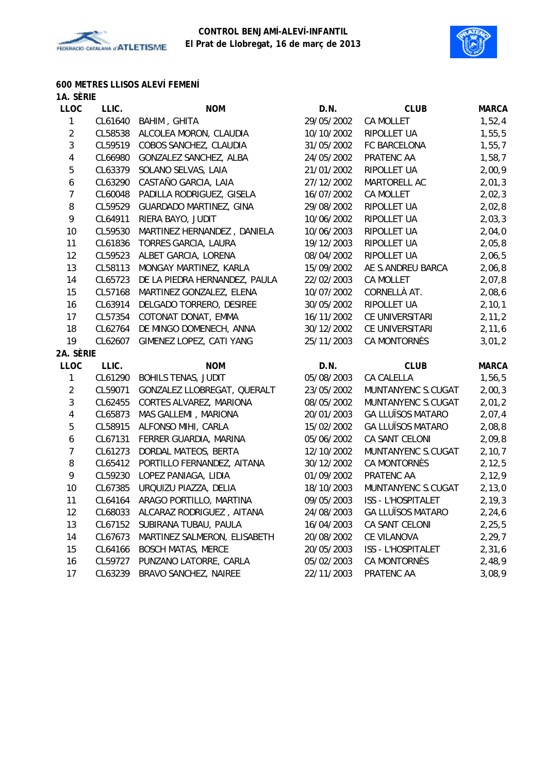



#### **600 METRES LLISOS ALEVÍ FEMENÍ 1A. SÈRIE**

| LLOC             | LLIC.   | <b>NOM</b>                    | D.N.       | <b>CLUB</b>               | <b>MARCA</b> |
|------------------|---------|-------------------------------|------------|---------------------------|--------------|
| 1                | CL61640 | <b>BAHIM, GHITA</b>           | 29/05/2002 | CA MOLLET                 | 1,52,4       |
| $\overline{2}$   | CL58538 | ALCOLEA MORON, CLAUDIA        | 10/10/2002 | RIPOLLET UA               | 1,55,5       |
| 3                | CL59519 | COBOS SANCHEZ, CLAUDIA        | 31/05/2002 | FC BARCELONA              | 1,55,7       |
| 4                | CL66980 | GONZALEZ SANCHEZ, ALBA        | 24/05/2002 | PRATENC AA                | 1,58,7       |
| 5                | CL63379 | SOLANO SELVAS, LAIA           | 21/01/2002 | RIPOLLET UA               | 2,00,9       |
| $\boldsymbol{6}$ | CL63290 | CASTAÑO GARCIA, LAIA          | 27/12/2002 | MARTORELL AC              | 2,01,3       |
| $\overline{7}$   | CL60048 | PADILLA RODRIGUEZ, GISELA     | 16/07/2002 | CA MOLLET                 | 2,02,3       |
| 8                | CL59529 | GUARDADO MARTINEZ, GINA       | 29/08/2002 | RIPOLLET UA               | 2,02,8       |
| 9                | CL64911 | RIERA BAYO, JUDIT             | 10/06/2002 | RIPOLLET UA               | 2,03,3       |
| 10               | CL59530 | MARTINEZ HERNANDEZ, DANIELA   | 10/06/2003 | RIPOLLET UA               | 2,04,0       |
| 11               | CL61836 | TORRES GARCIA, LAURA          | 19/12/2003 | RIPOLLET UA               | 2,05,8       |
| 12               | CL59523 | ALBET GARCIA, LORENA          | 08/04/2002 | RIPOLLET UA               | 2,06,5       |
| 13               | CL58113 | MONGAY MARTINEZ, KARLA        | 15/09/2002 | AE S.ANDREU BARCA         | 2,06,8       |
| 14               | CL65723 | DE LA PIEDRA HERNANDEZ, PAULA | 22/02/2003 | <b>CA MOLLET</b>          | 2,07,8       |
| 15               | CL57168 | MARTINEZ GONZALEZ, ELENA      | 10/07/2002 | CORNELLÀ AT.              | 2,08,6       |
| 16               | CL63914 | DELGADO TORRERO, DESIREE      | 30/05/2002 | RIPOLLET UA               | 2, 10, 1     |
| 17               | CL57354 | COTONAT DONAT, EMMA           | 16/11/2002 | CE UNIVERSITARI           | 2, 11, 2     |
| 18               | CL62764 | DE MINGO DOMENECH, ANNA       | 30/12/2002 | CE UNIVERSITARI           | 2, 11, 6     |
| 19               | CL62607 | GIMENEZ LOPEZ, CATI YANG      | 25/11/2003 | CA MONTORNÈS              | 3,01,2       |
| 2A. SÈRIE        |         |                               |            |                           |              |
| <b>LLOC</b>      | LLIC.   | <b>NOM</b>                    | D.N.       | <b>CLUB</b>               | <b>MARCA</b> |
| 1                | CL61290 | <b>BOHILS TENAS, JUDIT</b>    | 05/08/2003 | CA CALELLA                | 1,56,5       |
| $\overline{2}$   | CL59071 | GONZALEZ LLOBREGAT, QUERALT   | 23/05/2002 | MUNTANYENC S.CUGAT        | 2,00,3       |
| 3                | CL62455 | CORTES ALVAREZ, MARIONA       | 08/05/2002 | MUNTANYENC S.CUGAT        | 2,01,2       |
| 4                | CL65873 | MAS GALLEMI, MARIONA          | 20/01/2003 | <b>GA LLUÏSOS MATARO</b>  | 2,07,4       |
| 5                | CL58915 | ALFONSO MIHI, CARLA           | 15/02/2002 | <b>GA LLUÏSOS MATARO</b>  | 2,08,8       |
| $\boldsymbol{6}$ | CL67131 | FERRER GUARDIA, MARINA        | 05/06/2002 | CA SANT CELONI            | 2,09,8       |
| $\overline{7}$   | CL61273 | DORDAL MATEOS, BERTA          | 12/10/2002 | MUNTANYENC S.CUGAT        | 2, 10, 7     |
| $\, 8$           | CL65412 | PORTILLO FERNANDEZ, AITANA    | 30/12/2002 | CA MONTORNÈS              | 2, 12, 5     |
| 9                | CL59230 | LOPEZ PANIAGA, LIDIA          | 01/09/2002 | PRATENC AA                | 2,12,9       |
| 10               | CL67385 | URQUIZU PIAZZA, DELIA         | 18/10/2003 | MUNTANYENC S.CUGAT        | 2, 13, 0     |
| 11               | CL64164 | ARAGO PORTILLO, MARTINA       | 09/05/2003 | <b>ISS - L'HOSPITALET</b> | 2, 19, 3     |
| 12               | CL68033 | ALCARAZ RODRIGUEZ, AITANA     | 24/08/2003 | <b>GA LLUÏSOS MATARO</b>  | 2, 24, 6     |
| 13               | CL67152 | SUBIRANA TUBAU, PAULA         | 16/04/2003 | CA SANT CELONI            | 2, 25, 5     |
| 14               | CL67673 | MARTINEZ SALMERON, ELISABETH  | 20/08/2002 | CE VILANOVA               | 2, 29, 7     |
| 15               | CL64166 | <b>BOSCH MATAS, MERCE</b>     | 20/05/2003 | ISS - L'HOSPITALET        | 2,31,6       |
| 16               | CL59727 | PUNZANO LATORRE, CARLA        | 05/02/2003 | CA MONTORNÈS              | 2,48,9       |
| 17               | CL63239 | BRAVO SANCHEZ, NAIREE         | 22/11/2003 | PRATENC AA                | 3,08,9       |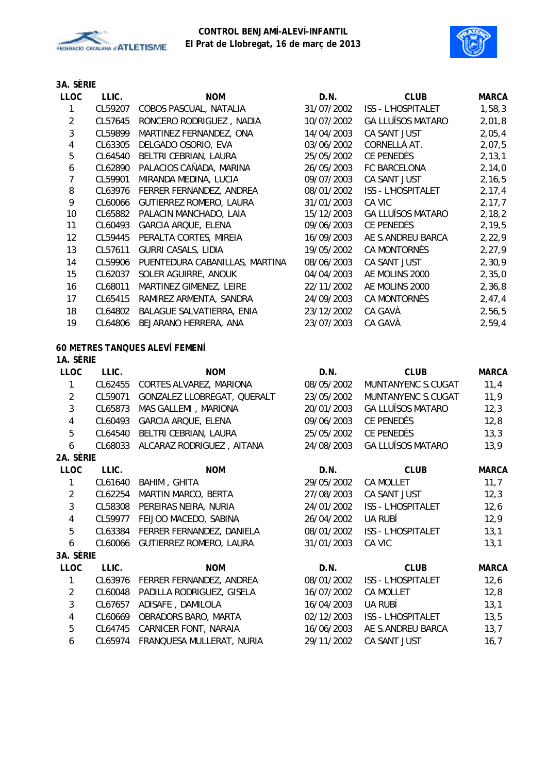



| <b>LLOC</b>             | LLIC.   | <b>NOM</b>                        | D.N.       | <b>CLUB</b>                   | <b>MARCA</b> |
|-------------------------|---------|-----------------------------------|------------|-------------------------------|--------------|
| $\mathbf{1}$            | CL59207 | COBOS PASCUAL, NATALIA            | 31/07/2002 | ISS - L'HOSPITALET            | 1,58,3       |
| $\overline{2}$          | CL57645 | RONCERO RODRIGUEZ, NADIA          | 10/07/2002 | <b>GA LLUÏSOS MATARO</b>      | 2,01,8       |
| $\mathfrak{Z}$          | CL59899 | MARTINEZ FERNANDEZ, ONA           | 14/04/2003 | CA SANT JUST                  | 2,05,4       |
| 4                       | CL63305 | DELGADO OSORIO, EVA               | 03/06/2002 | CORNELLÀ AT.                  | 2,07,5       |
| 5                       | CL64540 | BELTRI CEBRIAN, LAURA             | 25/05/2002 | CE PENEDÈS                    | 2, 13, 1     |
| 6                       | CL62890 | PALACIOS CAÑADA, MARINA           | 26/05/2003 | FC BARCELONA                  | 2,14,0       |
| $\overline{7}$          | CL59901 | MIRANDA MEDINA, LUCIA             | 09/07/2003 | CA SANT JUST                  | 2, 16, 5     |
| 8                       |         | CL63976 FERRER FERNANDEZ, ANDREA  | 08/01/2002 | ISS - L'HOSPITALET            | 2, 17, 4     |
| 9                       | CL60066 | <b>GUTIERREZ ROMERO, LAURA</b>    | 31/01/2003 | CA VIC                        | 2, 17, 7     |
| 10                      | CL65882 | PALACIN MANCHADO, LAIA            | 15/12/2003 | <b>GA LLUÏSOS MATARO</b>      | 2, 18, 2     |
| 11                      | CL60493 | GARCIA ARQUE, ELENA               | 09/06/2003 | CE PENEDÈS                    | 2, 19, 5     |
| 12                      | CL59445 | PERALTA CORTES, MIREIA            | 16/09/2003 | AE S.ANDREU BARCA             | 2,22,9       |
| 13                      | CL57611 | <b>GURRI CASALS, LIDIA</b>        | 19/05/2002 | CA MONTORNÈS                  | 2, 27, 9     |
| 14                      | CL59906 | PUENTEDURA CABANILLAS, MARTINA    | 08/06/2003 | CA SANT JUST                  | 2,30,9       |
| 15                      | CL62037 | SOLER AGUIRRE, ANOUK              | 04/04/2003 | AE MOLINS 2000                | 2,35,0       |
| 16                      | CL68011 | MARTINEZ GIMENEZ, LEIRE           | 22/11/2002 | AE MOLINS 2000                | 2,36,8       |
| 17                      | CL65415 | RAMIREZ ARMENTA, SANDRA           | 24/09/2003 | <b>CA MONTORNÈS</b>           | 2,47,4       |
| 18                      | CL64802 | BALAGUE SALVATIERRA, ENIA         | 23/12/2002 | CA GAVÀ                       | 2,56,5       |
| 19                      | CL64806 | BEJARANO HERRERA, ANA             | 23/07/2003 | CA GAVÀ                       | 2,59,4       |
|                         |         | 60 METRES TANQUES ALEVÍ FEMENÍ    |            |                               |              |
| 1A. SÈRIE               |         |                                   |            |                               |              |
| <b>LLOC</b>             | LLIC.   | <b>NOM</b>                        | D.N.       | <b>CLUB</b>                   | <b>MARCA</b> |
| $\mathbf{1}$            | CL62455 | CORTES ALVAREZ, MARIONA           | 08/05/2002 | MUNTANYENC S.CUGAT            | 11,4         |
| $\overline{2}$          | CL59071 | GONZALEZ LLOBREGAT, QUERALT       | 23/05/2002 | MUNTANYENC S.CUGAT            | 11,9         |
| 3                       | CL65873 | MAS GALLEMI, MARIONA              | 20/01/2003 | <b>GA LLUÏSOS MATARO</b>      | 12,3         |
| $\overline{\mathbf{4}}$ | CL60493 | GARCIA ARQUE, ELENA               | 09/06/2003 | CE PENEDÈS                    | 12,8         |
| 5                       |         | CL64540 BELTRI CEBRIAN, LAURA     | 25/05/2002 | CE PENEDÈS                    | 13,3         |
| 6                       |         | CL68033 ALCARAZ RODRIGUEZ, AITANA | 24/08/2003 | <b>GA LLUÏSOS MATARO</b>      | 13,9         |
| 2A. SÈRIE               |         |                                   |            |                               |              |
| <b>LLOC</b>             | LLIC.   | <b>NOM</b>                        | D.N.       | <b>CLUB</b>                   | <b>MARCA</b> |
| $\mathbf{1}$            |         | CL61640 BAHIM, GHITA              | 29/05/2002 | <b>CA MOLLET</b>              | 11,7         |
| $\overline{2}$          |         | CL62254 MARTIN MARCO, BERTA       | 27/08/2003 | CA SANT JUST                  | 12,3         |
| $\mathbf{3}$            |         | CL58308 PEREIRAS NEIRA, NURIA     |            | 24/01/2002 ISS - L'HOSPITALET | 12,6         |
| 4                       | CL59977 | FEIJOO MACEDO, SABINA             | 26/04/2002 | UA RUBÍ                       | 12,9         |
| 5                       | CL63384 | FERRER FERNANDEZ, DANIELA         | 08/01/2002 | <b>ISS - L'HOSPITALET</b>     | 13,1         |
| 6                       |         | CL60066 GUTIERREZ ROMERO, LAURA   | 31/01/2003 | CA VIC                        | 13,1         |
| 3A. SÈRIE               |         |                                   |            |                               |              |
| LLOC                    | LLIC.   | <b>NOM</b>                        | D.N.       | <b>CLUB</b>                   | <b>MARCA</b> |
| 1                       | CL63976 | FERRER FERNANDEZ, ANDREA          | 08/01/2002 | ISS - L'HOSPITALET            | 12,6         |
| $\overline{c}$          |         | CL60048 PADILLA RODRIGUEZ, GISELA | 16/07/2002 | CA MOLLET                     | 12,8         |
| 3                       | CL67657 | ADISAFE, DAMILOLA                 | 16/04/2003 | UA RUBÍ                       | 13,1         |
| 4                       | CL60669 | OBRADORS BARO, MARTA              | 02/12/2003 | ISS - L'HOSPITALET            | 13,5         |
| 5                       | CL64745 | CARNICER FONT, NARAIA             | 16/06/2003 | AE S.ANDREU BARCA             | 13,7         |
| 6                       |         | CL65974 FRANQUESA MULLERAT, NURIA | 29/11/2002 | CA SANT JUST                  | 16,7         |
|                         |         |                                   |            |                               |              |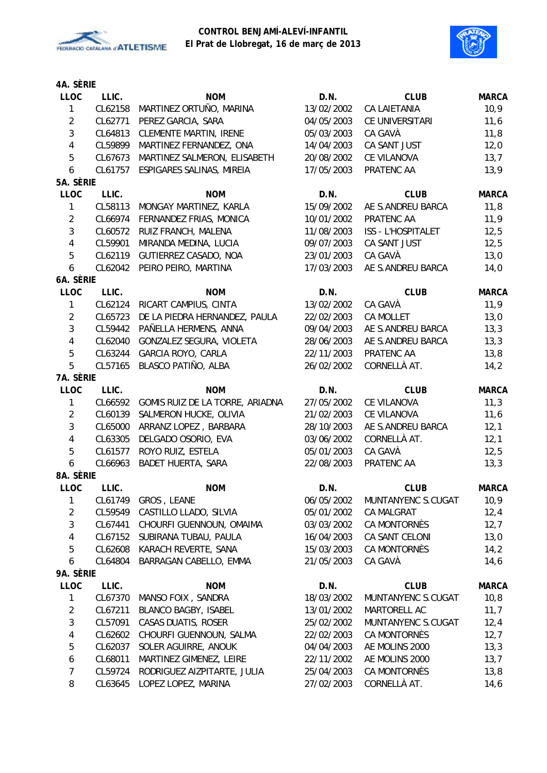



| 4A. SÈRIE        |         |                                 |            |                     |              |
|------------------|---------|---------------------------------|------------|---------------------|--------------|
| <b>LLOC</b>      | LLIC.   | <b>NOM</b>                      | D.N.       | <b>CLUB</b>         | <b>MARCA</b> |
| 1                | CL62158 | MARTINEZ ORTUÑO, MARINA         | 13/02/2002 | <b>CA LAIETANIA</b> | 10,9         |
| $\overline{2}$   | CL62771 | PEREZ GARCIA, SARA              | 04/05/2003 | CE UNIVERSITARI     | 11,6         |
| $\sqrt{3}$       | CL64813 | <b>CLEMENTE MARTIN, IRENE</b>   | 05/03/2003 | CA GAVÀ             | 11,8         |
| $\pmb{4}$        | CL59899 | MARTINEZ FERNANDEZ, ONA         | 14/04/2003 | CA SANT JUST        | 12,0         |
| 5                | CL67673 | MARTINEZ SALMERON, ELISABETH    | 20/08/2002 | CE VILANOVA         | 13,7         |
| 6                | CL61757 | ESPIGARES SALINAS, MIREIA       | 17/05/2003 | PRATENC AA          | 13,9         |
| 5A. SÈRIE        |         |                                 |            |                     |              |
| <b>LLOC</b>      | LLIC.   | <b>NOM</b>                      | D.N.       | <b>CLUB</b>         | <b>MARCA</b> |
| 1                | CL58113 | MONGAY MARTINEZ, KARLA          | 15/09/2002 | AE S.ANDREU BARCA   | 11,8         |
| $\overline{2}$   | CL66974 | FERNANDEZ FRIAS, MONICA         | 10/01/2002 | PRATENC AA          | 11,9         |
| $\mathbf{3}$     | CL60572 | RUIZ FRANCH, MALENA             | 11/08/2003 | ISS - L'HOSPITALET  | 12,5         |
| $\sqrt{4}$       | CL59901 | MIRANDA MEDINA, LUCIA           | 09/07/2003 | CA SANT JUST        | 12,5         |
| 5                | CL62119 | GUTIERREZ CASADO, NOA           | 23/01/2003 | CA GAVÀ             | 13,0         |
| 6                | CL62042 | PEIRO PEIRO, MARTINA            | 17/03/2003 | AE S.ANDREU BARCA   | 14,0         |
| 6A. SÈRIE        |         |                                 |            |                     |              |
| <b>LLOC</b>      | LLIC.   | <b>NOM</b>                      | D.N.       | <b>CLUB</b>         | <b>MARCA</b> |
| $\mathbf{1}$     | CL62124 | RICART CAMPIUS, CINTA           | 13/02/2002 | CA GAVÀ             | 11,9         |
| $\overline{2}$   | CL65723 | DE LA PIEDRA HERNANDEZ, PAULA   | 22/02/2003 | <b>CA MOLLET</b>    | 13,0         |
| $\mathfrak{Z}$   | CL59442 | PAÑELLA HERMENS, ANNA           | 09/04/2003 | AE S.ANDREU BARCA   | 13,3         |
| $\sqrt{4}$       | CL62040 | GONZALEZ SEGURA, VIOLETA        | 28/06/2003 | AE S.ANDREU BARCA   | 13,3         |
| $\mathbf 5$      | CL63244 | GARCIA ROYO, CARLA              | 22/11/2003 | PRATENC AA          | 13,8         |
| 5                | CL57165 | BLASCO PATIÑO, ALBA             | 26/02/2002 | CORNELLÀ AT.        | 14,2         |
| 7A. SÈRIE        |         |                                 |            |                     |              |
| <b>LLOC</b>      | LLIC.   | <b>NOM</b>                      | D.N.       | <b>CLUB</b>         | <b>MARCA</b> |
| $\mathbf{1}$     | CL66592 | GOMIS RUIZ DE LA TORRE, ARIADNA | 27/05/2002 | CE VILANOVA         | 11,3         |
| $\overline{2}$   | CL60139 | SALMERON HUCKE, OLIVIA          | 21/02/2003 | CE VILANOVA         | 11,6         |
| $\mathbf{3}$     | CL65000 | ARRANZ LOPEZ, BARBARA           | 28/10/2003 | AE S.ANDREU BARCA   | 12,1         |
| $\sqrt{4}$       | CL63305 | DELGADO OSORIO, EVA             | 03/06/2002 | CORNELLÀ AT.        | 12,1         |
| 5                | CL61577 | ROYO RUIZ, ESTELA               | 05/01/2003 | CA GAVÀ             | 12,5         |
| $\boldsymbol{6}$ | CL66963 | BADET HUERTA, SARA              | 22/08/2003 | PRATENC AA          | 13,3         |
| 8A. SÈRIE        |         |                                 |            |                     |              |
| <b>LLOC</b>      | LLIC.   | <b>NOM</b>                      | D.N.       | <b>CLUB</b>         | <b>MARCA</b> |
| 1                | CL61749 | GROS, LEANE                     | 06/05/2002 | MUNTANYENC S.CUGAT  | 10,9         |
| $\overline{2}$   | CL59549 | CASTILLO LLADO, SILVIA          | 05/01/2002 | CA MALGRAT          | 12,4         |
| 3                | CL67441 | CHOURFI GUENNOUN, OMAIMA        | 03/03/2002 | CA MONTORNÈS        | 12,7         |
| $\pmb{4}$        | CL67152 | SUBIRANA TUBAU, PAULA           | 16/04/2003 | CA SANT CELONI      | 13,0         |
| $\overline{5}$   | CL62608 | KARACH REVERTE, SANA            | 15/03/2003 | CA MONTORNÈS        | 14,2         |
| 6                | CL64804 | BARRAGAN CABELLO, EMMA          | 21/05/2003 | CA GAVÀ             | 14,6         |
| 9A. SÈRIE        |         |                                 |            |                     |              |
| <b>LLOC</b>      | LLIC.   | <b>NOM</b>                      | D.N.       | <b>CLUB</b>         | <b>MARCA</b> |
| 1                | CL67370 | MANSO FOIX, SANDRA              | 18/03/2002 | MUNTANYENC S.CUGAT  | 10, 8        |
| $\overline{2}$   | CL67211 | <b>BLANCO BAGBY, ISABEL</b>     | 13/01/2002 | MARTORELL AC        | 11,7         |
| 3                | CL57091 | CASAS DUATIS, ROSER             | 25/02/2002 | MUNTANYENC S.CUGAT  | 12,4         |
| $\sqrt{4}$       | CL62602 | CHOURFI GUENNOUN, SALMA         | 22/02/2003 | CA MONTORNÈS        |              |
| $\overline{5}$   | CL62037 | SOLER AGUIRRE, ANOUK            | 04/04/2003 | AE MOLINS 2000      | 12,7<br>13,3 |
| $\boldsymbol{6}$ | CL68011 | MARTINEZ GIMENEZ, LEIRE         | 22/11/2002 | AE MOLINS 2000      | 13,7         |
| 7                | CL59724 | RODRIGUEZ AIZPITARTE, JULIA     | 25/04/2003 | CA MONTORNÈS        | 13,8         |
|                  |         |                                 |            |                     |              |
| 8                | CL63645 | LOPEZ LOPEZ, MARINA             | 27/02/2003 | CORNELLÀ AT.        | 14,6         |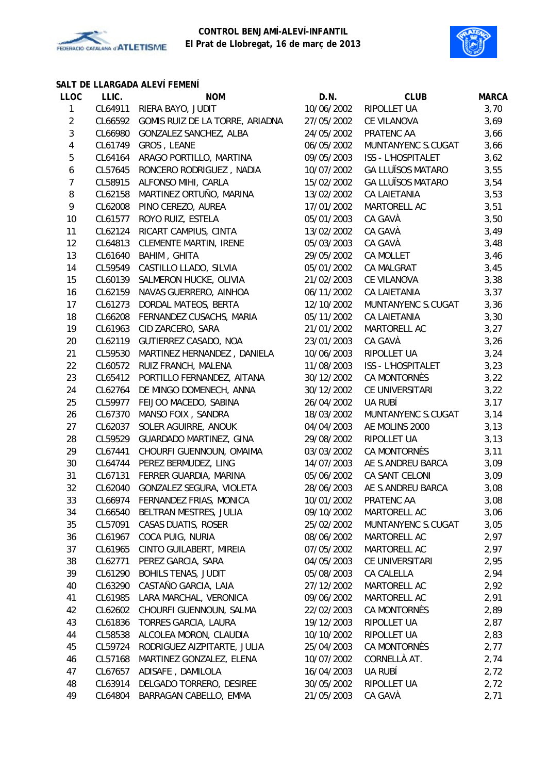



# **SALT DE LLARGADA ALEVÍ FEMENÍ**

| <b>LLOC</b>      | LLIC.   | <b>NOM</b>                          | D.N.       | <b>CLUB</b>              | <b>MARCA</b> |
|------------------|---------|-------------------------------------|------------|--------------------------|--------------|
| $\mathbf{1}$     | CL64911 | RIERA BAYO, JUDIT                   | 10/06/2002 | RIPOLLET UA              | 3,70         |
| $\overline{c}$   | CL66592 | GOMIS RUIZ DE LA TORRE, ARIADNA     | 27/05/2002 | CE VILANOVA              | 3,69         |
| 3                | CL66980 | GONZALEZ SANCHEZ, ALBA              | 24/05/2002 | PRATENC AA               | 3,66         |
| $\pmb{4}$        | CL61749 | GROS, LEANE                         | 06/05/2002 | MUNTANYENC S.CUGAT       | 3,66         |
| 5                | CL64164 | ARAGO PORTILLO, MARTINA             | 09/05/2003 | ISS - L'HOSPITALET       | 3,62         |
| $\boldsymbol{6}$ | CL57645 | RONCERO RODRIGUEZ, NADIA            | 10/07/2002 | <b>GA LLUÏSOS MATARO</b> | 3,55         |
| $\boldsymbol{7}$ | CL58915 | ALFONSO MIHI, CARLA                 | 15/02/2002 | <b>GA LLUÏSOS MATARO</b> | 3,54         |
| 8                | CL62158 | MARTINEZ ORTUÑO, MARINA             | 13/02/2002 | <b>CA LAIETANIA</b>      | 3,53         |
| 9                | CL62008 | PINO CEREZO, AUREA                  | 17/01/2002 | MARTORELL AC             | 3,51         |
| 10               | CL61577 | ROYO RUIZ, ESTELA                   | 05/01/2003 | CA GAVÀ                  | 3,50         |
| 11               | CL62124 | RICART CAMPIUS, CINTA               | 13/02/2002 | CA GAVÀ                  | 3,49         |
| 12               | CL64813 | <b>CLEMENTE MARTIN, IRENE</b>       | 05/03/2003 | CA GAVÀ                  | 3,48         |
| 13               | CL61640 | <b>BAHIM, GHITA</b>                 | 29/05/2002 | CA MOLLET                | 3,46         |
| 14               | CL59549 | CASTILLO LLADO, SILVIA              | 05/01/2002 | CA MALGRAT               | 3,45         |
| 15               | CL60139 | SALMERON HUCKE, OLIVIA              | 21/02/2003 | CE VILANOVA              | 3,38         |
| 16               | CL62159 | NAVAS GUERRERO, AINHOA              | 06/11/2002 | CA LAIETANIA             | 3,37         |
| 17               | CL61273 | DORDAL MATEOS, BERTA                | 12/10/2002 | MUNTANYENC S.CUGAT       | 3,36         |
| 18               | CL66208 | FERNANDEZ CUSACHS, MARIA            | 05/11/2002 | <b>CA LAIETANIA</b>      | 3,30         |
| 19               | CL61963 | CID ZARCERO, SARA                   | 21/01/2002 | MARTORELL AC             | 3,27         |
| 20               | CL62119 | GUTIERREZ CASADO, NOA               | 23/01/2003 | CA GAVÀ                  | 3,26         |
| 21               | CL59530 | MARTINEZ HERNANDEZ, DANIELA         | 10/06/2003 | RIPOLLET UA              | 3,24         |
| 22               | CL60572 | RUIZ FRANCH, MALENA                 | 11/08/2003 | ISS - L'HOSPITALET       | 3,23         |
| 23               | CL65412 | PORTILLO FERNANDEZ, AITANA          | 30/12/2002 | CA MONTORNÈS             | 3,22         |
| 24               | CL62764 | DE MINGO DOMENECH, ANNA             | 30/12/2002 | CE UNIVERSITARI          | 3,22         |
| 25               | CL59977 | FEIJOO MACEDO, SABINA               | 26/04/2002 | UA RUBÍ                  | 3,17         |
| 26               | CL67370 | MANSO FOIX, SANDRA                  | 18/03/2002 | MUNTANYENC S.CUGAT       | 3,14         |
| 27               | CL62037 | SOLER AGUIRRE, ANOUK                | 04/04/2003 | AE MOLINS 2000           | 3,13         |
| 28               | CL59529 | GUARDADO MARTINEZ, GINA             | 29/08/2002 | RIPOLLET UA              | 3,13         |
| 29               | CL67441 | CHOURFI GUENNOUN, OMAIMA            | 03/03/2002 | CA MONTORNÈS             | 3,11         |
| 30               | CL64744 | PEREZ BERMUDEZ, LING                | 14/07/2003 | AE S.ANDREU BARCA        | 3,09         |
| 31               | CL67131 | FERRER GUARDIA, MARINA              | 05/06/2002 | CA SANT CELONI           | 3,09         |
| 32               | CL62040 | GONZALEZ SEGURA, VIOLETA            | 28/06/2003 | AE S.ANDREU BARCA        | 3,08         |
| 33               | CL66974 | FERNANDEZ FRIAS, MONICA             | 10/01/2002 | PRATENC AA               | 3,08         |
| 34               |         | CL66540 BELTRAN MESTRES, JULIA      | 09/10/2002 | MARTORELL AC             | 3,06         |
| 35               |         | CL57091 CASAS DUATIS, ROSER         | 25/02/2002 | MUNTANYENC S.CUGAT       | 3,05         |
| 36               |         | CL61967 COCA PUIG, NURIA            | 08/06/2002 | MARTORELL AC             |              |
| 37               | CL61965 |                                     | 07/05/2002 | MARTORELL AC             | 2,97         |
|                  |         | CINTO GUILABERT, MIREIA             |            |                          | 2,97         |
| 38               | CL62771 | PEREZ GARCIA, SARA                  | 04/05/2003 | CE UNIVERSITARI          | 2,95         |
| 39               | CL61290 | <b>BOHILS TENAS, JUDIT</b>          | 05/08/2003 | CA CALELLA               | 2,94         |
| 40               |         | CL63290 CASTAÑO GARCIA, LAIA        | 27/12/2002 | MARTORELL AC             | 2,92         |
| 41               | CL61985 | LARA MARCHAL, VERONICA              | 09/06/2002 | MARTORELL AC             | 2,91         |
| 42               |         | CL62602 CHOURFI GUENNOUN, SALMA     | 22/02/2003 | CA MONTORNÈS             | 2,89         |
| 43               |         | CL61836 TORRES GARCIA, LAURA        | 19/12/2003 | RIPOLLET UA              | 2,87         |
| 44               |         | CL58538 ALCOLEA MORON, CLAUDIA      | 10/10/2002 | RIPOLLET UA              | 2,83         |
| 45               |         | CL59724 RODRIGUEZ AIZPITARTE, JULIA | 25/04/2003 | CA MONTORNÈS             | 2,77         |
| 46               | CL57168 | MARTINEZ GONZALEZ, ELENA            | 10/07/2002 | CORNELLÀ AT.             | 2,74         |
| 47               | CL67657 | ADISAFE, DAMILOLA                   | 16/04/2003 | UA RUBÍ                  | 2,72         |
| 48               | CL63914 | DELGADO TORRERO, DESIREE            | 30/05/2002 | RIPOLLET UA              | 2,72         |
| 49               |         | CL64804 BARRAGAN CABELLO, EMMA      | 21/05/2003 | CA GAVÀ                  | 2,71         |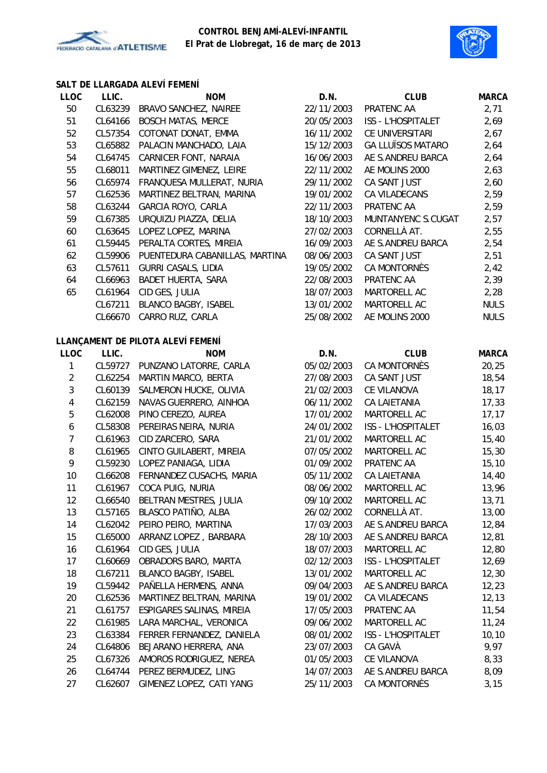



#### **SALT DE LLARGADA ALEVÍ FEMENÍ**

| <b>LLOC</b>  | LLIC.   | <b>NOM</b>                        | D.N.       | <b>CLUB</b>              | <b>MARCA</b> |
|--------------|---------|-----------------------------------|------------|--------------------------|--------------|
| 50           | CL63239 | BRAVO SANCHEZ, NAIREE             | 22/11/2003 | PRATENC AA               | 2,71         |
| 51           | CL64166 | <b>BOSCH MATAS, MERCE</b>         | 20/05/2003 | ISS - L'HOSPITALET       | 2,69         |
| 52           | CL57354 | COTONAT DONAT, EMMA               | 16/11/2002 | CE UNIVERSITARI          | 2,67         |
| 53           | CL65882 | PALACIN MANCHADO, LAIA            | 15/12/2003 | <b>GA LLUÏSOS MATARO</b> | 2,64         |
| 54           | CL64745 | CARNICER FONT, NARAIA             | 16/06/2003 | AE S.ANDREU BARCA        | 2,64         |
| 55           | CL68011 | MARTINEZ GIMENEZ, LEIRE           | 22/11/2002 | AE MOLINS 2000           | 2,63         |
| 56           | CL65974 | FRANQUESA MULLERAT, NURIA         | 29/11/2002 | CA SANT JUST             | 2,60         |
| 57           | CL62536 | MARTINEZ BELTRAN, MARINA          | 19/01/2002 | CA VILADECANS            | 2,59         |
| 58           | CL63244 | GARCIA ROYO, CARLA                | 22/11/2003 | PRATENC AA               | 2,59         |
| 59           | CL67385 | URQUIZU PIAZZA, DELIA             | 18/10/2003 | MUNTANYENC S.CUGAT       | 2,57         |
| 60           | CL63645 | LOPEZ LOPEZ, MARINA               | 27/02/2003 | CORNELLÀ AT.             | 2,55         |
| 61           | CL59445 | PERALTA CORTES, MIREIA            | 16/09/2003 | AE S.ANDREU BARCA        | 2,54         |
| 62           | CL59906 | PUENTEDURA CABANILLAS, MARTINA    | 08/06/2003 | CA SANT JUST             | 2,51         |
| 63           | CL57611 | <b>GURRI CASALS, LIDIA</b>        | 19/05/2002 | CA MONTORNÈS             | 2,42         |
| 64           | CL66963 | BADET HUERTA, SARA                | 22/08/2003 | PRATENC AA               | 2,39         |
| 65           | CL61964 | CID GES, JULIA                    | 18/07/2003 | MARTORELL AC             | 2,28         |
|              | CL67211 | <b>BLANCO BAGBY, ISABEL</b>       | 13/01/2002 | MARTORELL AC             | <b>NULS</b>  |
|              | CL66670 | CARRO RUZ, CARLA                  | 25/08/2002 | AE MOLINS 2000           | <b>NULS</b>  |
|              |         | LLANÇAMENT DE PILOTA ALEVÍ FEMENÍ |            |                          |              |
| <b>LLOC</b>  | LLIC.   | <b>NOM</b>                        | D.N.       | <b>CLUB</b>              | <b>MARCA</b> |
| $\mathbf{1}$ |         | CL59727 PUNZANO LATORRE, CARLA    | 05/02/2003 | CA MONTORNÈS             | 20,25        |
| 2            | CL62254 | <b>MARTIN MARCO, BERTA</b>        | 27/08/2003 | CA SANT JUST             | 18,54        |

| Ι.             |         | ULSYTZT PUNZANU LATURRE, UARLA | U570272003 | <b><i>CA MUNTURNES</i></b> | 20, ZD |
|----------------|---------|--------------------------------|------------|----------------------------|--------|
| 2              | CL62254 | MARTIN MARCO, BERTA            | 27/08/2003 | CA SANT JUST               | 18,54  |
| 3              | CL60139 | SALMERON HUCKE, OLIVIA         | 21/02/2003 | CE VILANOVA                | 18, 17 |
| $\overline{4}$ | CL62159 | NAVAS GUERRERO, AINHOA         | 06/11/2002 | <b>CA LAIETANIA</b>        | 17,33  |
| $\overline{5}$ | CL62008 | PINO CEREZO, AUREA             | 17/01/2002 | MARTORELL AC               | 17, 17 |
| 6              | CL58308 | PEREIRAS NEIRA, NURIA          | 24/01/2002 | <b>ISS - L'HOSPITALET</b>  | 16,03  |
| 7              | CL61963 | CID ZARCERO, SARA              | 21/01/2002 | MARTORELL AC               | 15,40  |
| 8              | CL61965 | CINTO GUILABERT, MIREIA        | 07/05/2002 | MARTORELL AC               | 15,30  |
| 9              | CL59230 | LOPEZ PANIAGA, LIDIA           | 01/09/2002 | PRATENC AA                 | 15, 10 |
| 10             | CL66208 | FERNANDEZ CUSACHS, MARIA       | 05/11/2002 | CA LAIETANIA               | 14,40  |
| 11             | CL61967 | COCA PUIG, NURIA               | 08/06/2002 | MARTORELL AC               | 13,96  |
| 12             | CL66540 | BELTRAN MESTRES, JULIA         | 09/10/2002 | MARTORELL AC               | 13,71  |
| 13             | CL57165 | BLASCO PATIÑO, ALBA            | 26/02/2002 | CORNELLÀ AT.               | 13,00  |
| 14             | CL62042 | PEIRO PEIRO, MARTINA           | 17/03/2003 | AE S.ANDREU BARCA          | 12,84  |
| 15             | CL65000 | ARRANZ LOPEZ, BARBARA          | 28/10/2003 | AE S.ANDREU BARCA          | 12,81  |
| 16             | CL61964 | CID GES, JULIA                 | 18/07/2003 | MARTORELL AC               | 12,80  |
| 17             | CL60669 | OBRADORS BARO, MARTA           | 02/12/2003 | <b>ISS - L'HOSPITALET</b>  | 12,69  |
| 18             | CL67211 | <b>BLANCO BAGBY, ISABEL</b>    | 13/01/2002 | MARTORELL AC               | 12,30  |
| 19             | CL59442 | PAÑELLA HERMENS, ANNA          | 09/04/2003 | AE S.ANDREU BARCA          | 12,23  |
| 20             | CL62536 | MARTINEZ BELTRAN, MARINA       | 19/01/2002 | CA VILADECANS              | 12, 13 |
| 21             | CL61757 | ESPIGARES SALINAS, MIREIA      | 17/05/2003 | PRATENC AA                 | 11,54  |
| 22             | CL61985 | LARA MARCHAL, VERONICA         | 09/06/2002 | MARTORELL AC               | 11,24  |
| 23             | CL63384 | FERRER FERNANDEZ, DANIELA      | 08/01/2002 | ISS - L'HOSPITALET         | 10, 10 |
| 24             | CL64806 | BEJARANO HERRERA, ANA          | 23/07/2003 | CA GAVÀ                    | 9,97   |
| 25             | CL67326 | AMOROS RODRIGUEZ, NEREA        | 01/05/2003 | CE VILANOVA                | 8,33   |
| 26             | CL64744 | PEREZ BERMUDEZ, LING           | 14/07/2003 | AE S.ANDREU BARCA          | 8,09   |
| 27             | CL62607 | GIMENEZ LOPEZ, CATI YANG       | 25/11/2003 | <b>CA MONTORNÈS</b>        | 3,15   |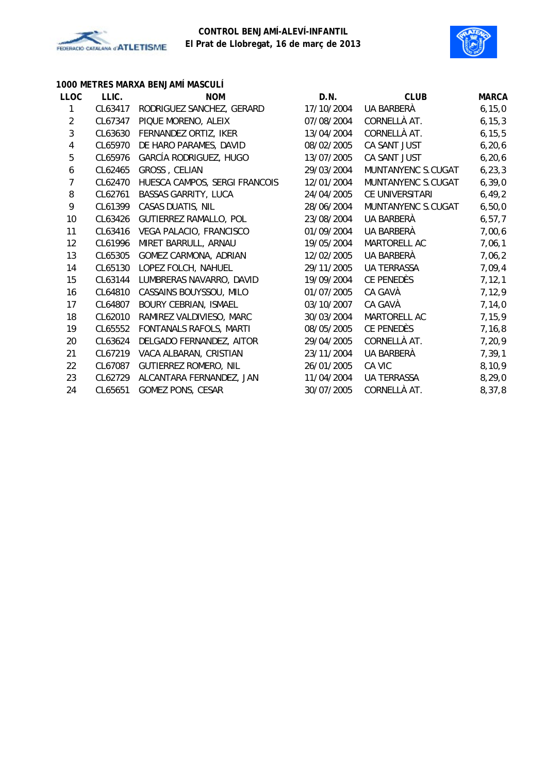



#### **1000 METRES MARXA BENJAMÍ MASCULÍ**

| <b>LLOC</b>    | LLIC.   | <b>NOM</b>                    | D.N.       | <b>CLUB</b>        | <b>MARCA</b> |
|----------------|---------|-------------------------------|------------|--------------------|--------------|
| 1              | CL63417 | RODRIGUEZ SANCHEZ, GERARD     | 17/10/2004 | UA BARBERÀ         | 6, 15, 0     |
| $\overline{2}$ | CL67347 | PIQUE MORENO, ALEIX           | 07/08/2004 | CORNELLÀ AT.       | 6, 15, 3     |
| 3              | CL63630 | FERNANDEZ ORTIZ, IKER         | 13/04/2004 | CORNELLÀ AT.       | 6, 15, 5     |
| 4              | CL65970 | DE HARO PARAMES, DAVID        | 08/02/2005 | CA SANT JUST       | 6, 20, 6     |
| 5              | CL65976 | GARCÍA RODRIGUEZ, HUGO        | 13/07/2005 | CA SANT JUST       | 6, 20, 6     |
| 6              | CL62465 | GROSS, CELIAN                 | 29/03/2004 | MUNTANYENC S.CUGAT | 6, 23, 3     |
| 7              | CL62470 | HUESCA CAMPOS, SERGI FRANCOIS | 12/01/2004 | MUNTANYENC S.CUGAT | 6, 39, 0     |
| 8              | CL62761 | <b>BASSAS GARRITY, LUCA</b>   | 24/04/2005 | CE UNIVERSITARI    | 6, 49, 2     |
| 9              | CL61399 | CASAS DUATIS, NIL             | 28/06/2004 | MUNTANYENC S.CUGAT | 6,50,0       |
| 10             | CL63426 | GUTIERREZ RAMALLO, POL        | 23/08/2004 | UA BARBERÀ         | 6, 57, 7     |
| 11             | CL63416 | VEGA PALACIO, FRANCISCO       | 01/09/2004 | UA BARBERÀ         | 7,00,6       |
| 12             | CL61996 | MIRET BARRULL, ARNAU          | 19/05/2004 | MARTORELL AC       | 7,06,1       |
| 13             | CL65305 | GOMEZ CARMONA, ADRIAN         | 12/02/2005 | UA BARBERÀ         | 7,06,2       |
| 14             | CL65130 | LOPEZ FOLCH, NAHUEL           | 29/11/2005 | <b>UA TERRASSA</b> | 7,09,4       |
| 15             | CL63144 | LUMBRERAS NAVARRO, DAVID      | 19/09/2004 | CE PENEDÈS         | 7, 12, 1     |
| 16             | CL64810 | CASSAINS BOUYSSOU, MILO       | 01/07/2005 | CA GAVÀ            | 7,12,9       |
| 17             | CL64807 | BOURY CEBRIAN, ISMAEL         | 03/10/2007 | CA GAVÀ            | 7, 14, 0     |
| 18             | CL62010 | RAMIREZ VALDIVIESO, MARC      | 30/03/2004 | MARTORELL AC       | 7,15,9       |
| 19             | CL65552 | FONTANALS RAFOLS, MARTI       | 08/05/2005 | CE PENEDÈS         | 7,16,8       |
| 20             | CL63624 | DELGADO FERNANDEZ, AITOR      | 29/04/2005 | CORNELLÀ AT.       | 7,20,9       |
| 21             | CL67219 | VACA ALBARAN, CRISTIAN        | 23/11/2004 | UA BARBERÀ         | 7, 39, 1     |
| 22             | CL67087 | GUTIERREZ ROMERO, NIL         | 26/01/2005 | CA VIC             | 8,10,9       |
| 23             | CL62729 | ALCANTARA FERNANDEZ, JAN      | 11/04/2004 | <b>UA TERRASSA</b> | 8, 29, 0     |
| 24             | CL65651 | GOMEZ PONS, CESAR             | 30/07/2005 | CORNELLÀ AT.       | 8,37,8       |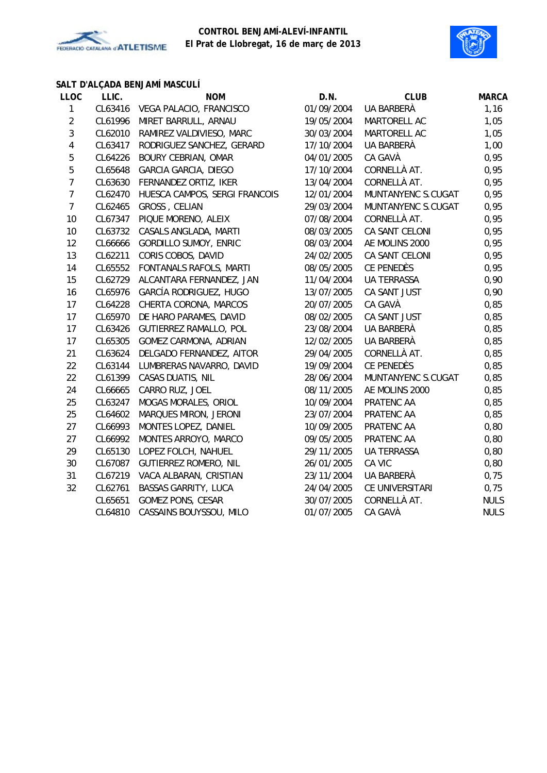



# **SALT D'ALÇADA BENJAMÍ MASCULÍ**

| <b>LLOC</b>    | LLIC.   | <b>NOM</b>                     | D.N.       | <b>CLUB</b>        | <b>MARCA</b> |
|----------------|---------|--------------------------------|------------|--------------------|--------------|
| $\mathbf{1}$   | CL63416 | VEGA PALACIO, FRANCISCO        | 01/09/2004 | UA BARBERÀ         | 1,16         |
| $\overline{c}$ | CL61996 | MIRET BARRULL, ARNAU           | 19/05/2004 | MARTORELL AC       | 1,05         |
| $\mathfrak{Z}$ | CL62010 | RAMIREZ VALDIVIESO, MARC       | 30/03/2004 | MARTORELL AC       | 1,05         |
| $\overline{4}$ | CL63417 | RODRIGUEZ SANCHEZ, GERARD      | 17/10/2004 | <b>UA BARBERÀ</b>  | 1,00         |
| 5              | CL64226 | <b>BOURY CEBRIAN, OMAR</b>     | 04/01/2005 | CA GAVÀ            | 0,95         |
| 5              | CL65648 | <b>GARCIA GARCIA, DIEGO</b>    | 17/10/2004 | CORNELLÀ AT.       | 0,95         |
| $\overline{7}$ | CL63630 | FERNANDEZ ORTIZ, IKER          | 13/04/2004 | CORNELLÀ AT.       | 0,95         |
| $\overline{7}$ | CL62470 | HUESCA CAMPOS, SERGI FRANCOIS  | 12/01/2004 | MUNTANYENC S.CUGAT | 0,95         |
| $\overline{7}$ | CL62465 | GROSS, CELIAN                  | 29/03/2004 | MUNTANYENC S.CUGAT | 0,95         |
| 10             | CL67347 | PIQUE MORENO, ALEIX            | 07/08/2004 | CORNELLÀ AT.       | 0,95         |
| 10             | CL63732 | CASALS ANGLADA, MARTI          | 08/03/2005 | CA SANT CELONI     | 0,95         |
| 12             | CL66666 | GORDILLO SUMOY, ENRIC          | 08/03/2004 | AE MOLINS 2000     | 0,95         |
| 13             | CL62211 | CORIS COBOS, DAVID             | 24/02/2005 | CA SANT CELONI     | 0,95         |
| 14             | CL65552 | <b>FONTANALS RAFOLS, MARTI</b> | 08/05/2005 | <b>CE PENEDÈS</b>  | 0,95         |
| 15             | CL62729 | ALCANTARA FERNANDEZ, JAN       | 11/04/2004 | UA TERRASSA        | 0,90         |
| 16             | CL65976 | GARCÍA RODRIGUEZ, HUGO         | 13/07/2005 | CA SANT JUST       | 0,90         |
| 17             | CL64228 | CHERTA CORONA, MARCOS          | 20/07/2005 | CA GAVÀ            | 0,85         |
| 17             | CL65970 | DE HARO PARAMES, DAVID         | 08/02/2005 | CA SANT JUST       | 0,85         |
| 17             | CL63426 | GUTIERREZ RAMALLO, POL         | 23/08/2004 | UA BARBERÀ         | 0,85         |
| 17             | CL65305 | <b>GOMEZ CARMONA, ADRIAN</b>   | 12/02/2005 | UA BARBERÀ         | 0,85         |
| 21             | CL63624 | DELGADO FERNANDEZ, AITOR       | 29/04/2005 | CORNELLÀ AT.       | 0,85         |
| 22             | CL63144 | LUMBRERAS NAVARRO, DAVID       | 19/09/2004 | CE PENEDÈS         | 0,85         |
| 22             | CL61399 | CASAS DUATIS, NIL              | 28/06/2004 | MUNTANYENC S.CUGAT | 0,85         |
| 24             | CL66665 | CARRO RUZ, JOEL                | 08/11/2005 | AE MOLINS 2000     | 0,85         |
| 25             | CL63247 | MOGAS MORALES, ORIOL           | 10/09/2004 | PRATENC AA         | 0,85         |
| 25             | CL64602 | MARQUES MIRON, JERONI          | 23/07/2004 | PRATENC AA         | 0,85         |
| 27             | CL66993 | MONTES LOPEZ, DANIEL           | 10/09/2005 | PRATENC AA         | 0,80         |
| 27             | CL66992 | MONTES ARROYO, MARCO           | 09/05/2005 | PRATENC AA         | 0,80         |
| 29             | CL65130 | LOPEZ FOLCH, NAHUEL            | 29/11/2005 | <b>UA TERRASSA</b> | 0,80         |
| 30             | CL67087 | GUTIERREZ ROMERO, NIL          | 26/01/2005 | CA VIC             | 0,80         |
| 31             | CL67219 | VACA ALBARAN, CRISTIAN         | 23/11/2004 | UA BARBERÀ         | 0,75         |
| 32             | CL62761 | <b>BASSAS GARRITY, LUCA</b>    | 24/04/2005 | CE UNIVERSITARI    | 0,75         |
|                | CL65651 | <b>GOMEZ PONS, CESAR</b>       | 30/07/2005 | CORNELLÀ AT.       | <b>NULS</b>  |
|                | CL64810 | CASSAINS BOUYSSOU, MILO        | 01/07/2005 | CA GAVÀ            | <b>NULS</b>  |